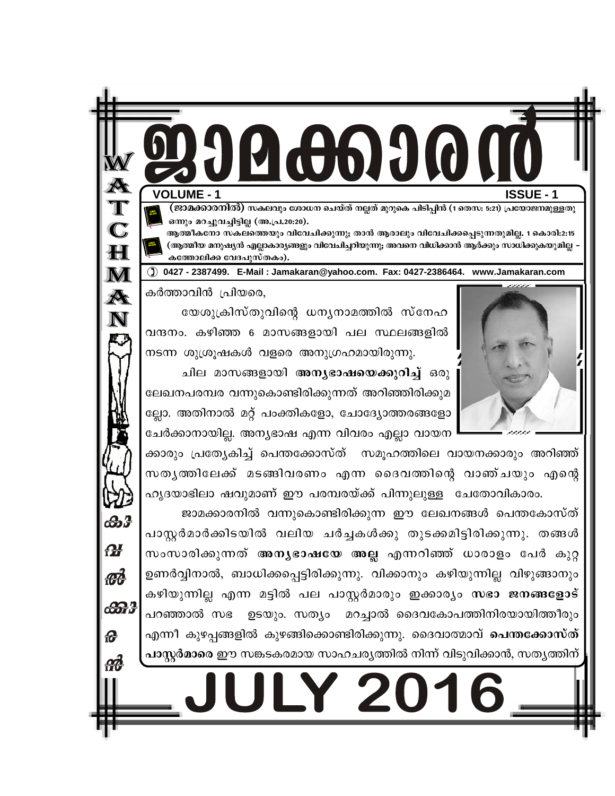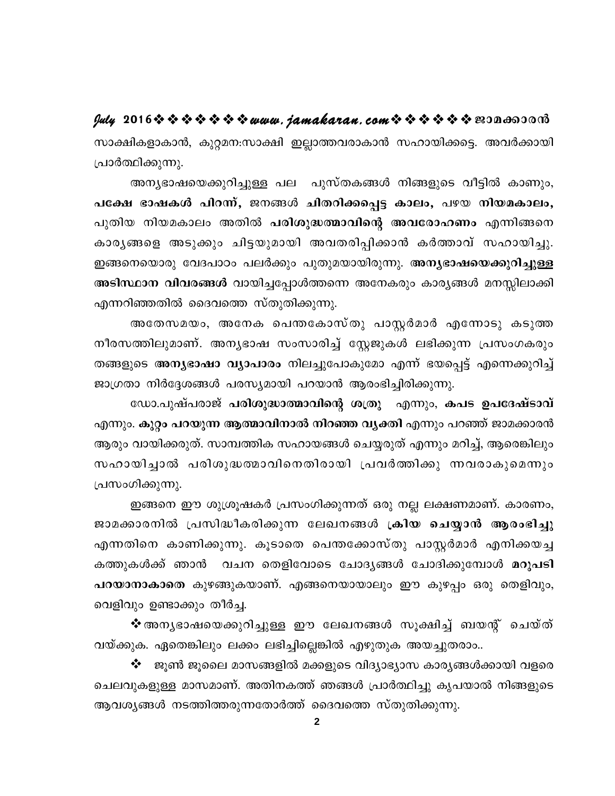സാക്ഷികളാകാൻ, കുറ്റമന:സാക്ഷി ഇല്ലാത്തവരാകാൻ സഹായിക്കട്ടെ. അവർക്കായി പ്രാർത്ഥിക്കുന്നു.

അന്യഭാഷയെക്കുറിച്ചുള്ള പല പുസ്തകങ്ങൾ നിങ്ങളുടെ വീട്ടിൽ കാണും, പക്ഷേ ഭാഷകൾ പിറന്ന്, ജനങ്ങൾ ചിതറിക്കപ്പെട്ട കാലം, പഴയ നിയമകാലം, പുതിയ നിയമകാലം അതിൽ പരിശുദ്ധത്മാവിന്റെ അവരോഹണം എന്നിങ്ങനെ കാരൃങ്ങളെ അടുക്കും ചിട്ടയുമായി അവതരിപ്പിക്കാൻ കർത്താവ് സഹായിച്ചു. ഇങ്ങനെയൊരു വേദപാഠം പലർക്കും പുതുമയായിരുന്നു. അ<mark>ന്യഭാഷയെക്കുറിച്ചുള്ള</mark> അടിസ്ഥാന വിവരങ്ങൾ വായിച്ചപ്പോൾത്തന്നെ അനേകരും കാര്യങ്ങൾ മനസ്സിലാക്കി എന്നറിഞ്ഞതിൽ ദൈവത്തെ സ്തുതിക്കുന്നു.

അതേസമയം, അനേക പെന്തകോസ്തു പാസ്റ്റർമാർ എന്നോടു കടുത്ത നീരസത്തിലുമാണ്. അന്യഭാഷ സംസാരിച്ച് സ്റ്റേജുകൾ ലഭിക്കുന്ന പ്രസംഗകരും തങ്ങളുടെ അനൃഭാഷാ വ്യാപാരം നിലച്ചുപോകുമോ എന്ന് ഭയപ്പെട്ട് എന്നെക്കുറിച്ച് ജാഗ്രതാ നിർദ്ദേശങ്ങൾ പരസ്യമായി പറയാൻ ആരംഭിച്ചിരിക്കുന്നു.

ഡോ.പുഷ്പരാജ് പരിശുദ്ധാത്മാവിന്റെ ശത്രു എന്നും, കപട ഉപദേഷ്ടാവ് എന്നും. കുറ്റം പറയുന്ന ആത്മാവിനാൽ നിറഞ്ഞ വൃക്തി എന്നും പറഞ്ഞ് ജാമക്കാരൻ ആരും വായിക്കരുത്. സാമ്പത്തിക സഹായങ്ങൾ ചെയ്യരുത് എന്നും മറിച്ച്, ആരെങ്കിലും സഹായിച്ചാൽ പരിശുദ്ധത്മാവിനെതിരായി പ്രവർത്തിക്കു ന്നവരാകുമെന്നും പ്രസംഗിക്കുന്നു.

ഇങ്ങനെ ഈ ശുശ്രൂഷകർ പ്രസംഗിക്കുന്നത് ഒരു നല്ല ലക്ഷണമാണ്. കാരണം, ജാമക്കാരനിൽ പ്രസിദ്ധീകരിക്കുന്ന ലേഖനങ്ങൾ ക്രിയ ചെയ്യാൻ ആരംഭിച്ചു എന്നതിനെ കാണിക്കുന്നു. കൂടാതെ പെന്തക്കോസ്തു പാസ്റ്റർമാർ എനിക്കയച്ച കത്തുകൾക്ക് ഞാൻ വചന തെളിവോടെ ചോദൃങ്ങൾ ചോദിക്കുമ്പോൾ **മറുപടി** പറയാനാകാതെ കുഴങ്ങുകയാണ്. എങ്ങനെയായാലും ഈ കുഴപ്പം ഒരു തെളിവും, വെളിവും ഉണ്ടാക്കും തീർച്ച.

❖ അനൃഭാഷയെക്കുറിച്ചുള്ള ഈ ലേഖനങ്ങൾ സൂക്ഷിച്ച് ബയന്റ് ചെയ്ത് വയ്ക്കുക. ഏതെങ്കിലും ലക്കം ലഭിച്ചില്ലെങ്കിൽ എഴുതുക അയച്ചുതരാം..

 $\bm{\dot{\ast}}$  - ജൂൺ ജൂലൈ മാസങ്ങളിൽ മക്കളുടെ വിദ്യാഭ്യാസ കാര്യങ്ങൾക്കായി വളരെ ചെലവുകളുള്ള മാസമാണ്. അതിനകത്ത് ഞങ്ങൾ പ്രാർത്ഥിച്ചു കൃപയാൽ നിങ്ങളുടെ ആവശ്യങ്ങൾ നടത്തിത്തരുന്നതോർത്ത് ദൈവത്തെ സ്തുതിക്കുന്നു.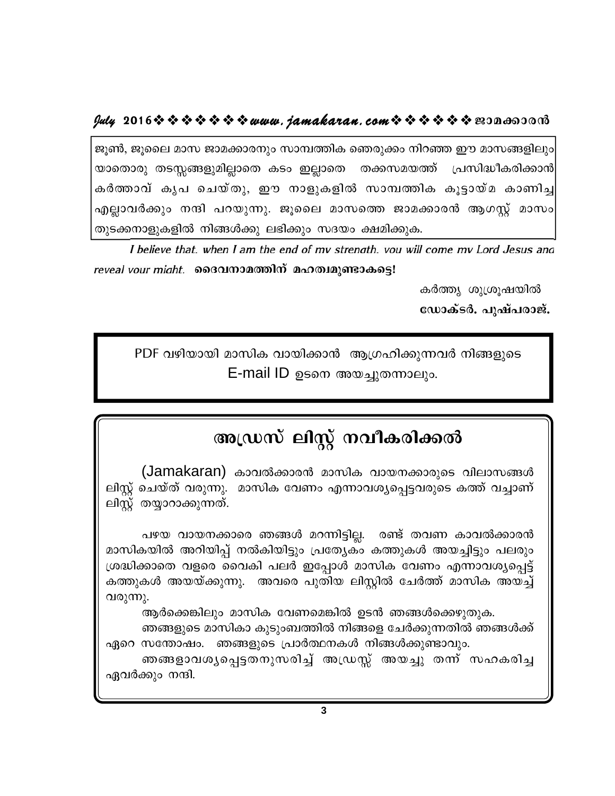# $y$ uly 2016  $\rightsquigarrow \rightsquigarrow \rightsquigarrow \rightsquigarrow \rightsquigarrow w$ uuu. jamakaran. com $\rightsquigarrow \rightsquigarrow \rightsquigarrow \rightsquigarrow \rightsquigarrow w$

ജൂൺ, ജൂലൈ മാസ ജാമക്കാരനും സാമ്പത്തിക ഞെരുക്കം നിറഞ്ഞ ഈ മാസങ്ങളിലും യാതൊരു തടസ്സങ്ങളുമില്ലാതെ കടം ഇല്ലാതെ തക്കസമയത്ത് പ്രസിദ്ധീകരിക്കാൻ കർത്താവ് കൃപ ചെയ്തു, ഈ നാളുകളിൽ സാമ്പത്തിക കൂട്ടായ്മ കാണിച്ച എല്ലാവർക്കും നന്ദി പറയുന്നു. ജൂലൈ മാസത്തെ ജാമക്കാരൻ ആഗസ്റ്റ് മാസം തുടക്കനാളുകളിൽ നിങ്ങൾക്കു ലഭിക്കും സദയം ക്ഷമിക്കുക.

I believe that. when I am the end of my strenath. you will come my Lord Jesus and reveal vour might. മൈവനാമത്തിന് മഹത്വമുണ്ടാകട്ടെ!

> കർത്ത്യ ശുശ്രൂഷയിൽ ഡോക്ടർ. പുഷ്പരാജ്.

PDF വഴിയായി മാസിക വായിക്കാൻ ആഗ്രഹിക്കുന്നവർ നിങ്ങളുടെ E-mail ID ഉടനെ അയച്ചുതന്നാലും.

# അഡ്രസ് ലിസ്റ്റ് നവീകരിക്കൽ

(Jamakaran) കാവൽക്കാരൻ മാസിക വായനക്കാരുടെ വിലാസങ്ങൾ ലിസ്റ്റ് ചെയ്ത് വരുന്നു. മാസിക വേണം എന്നാവശ്യപ്പെട്ടവരുടെ കത്ത് വച്ചാണ് ലിസ്റ്റ് തയ്യാറാക്കുന്നത്.

പഴയ വായനക്കാരെ ഞങ്ങൾ മറന്നിട്ടില്ല. രണ്ട് തവണ കാവൽക്കാരൻ മാസികയിൽ അറിയിപ്പ് നൽകിയിട്ടും പ്രത്യേകം കത്തുകൾ അയച്ചിട്ടും പലരും ശ്രദ്ധിക്കാതെ വളരെ വൈകി പലർ ഇപ്പോൾ മാസിക വേണം എന്നാവശ്യപ്പെട്ട് കത്തുകൾ അയയ്ക്കുന്നു. അവരെ പുതിയ ലിസ്റ്റിൽ ചേർത്ത് മാസിക അയച്ച് വരുന്നു.

ആർക്കെങ്കിലും മാസിക വേണമെങ്കിൽ ഉടൻ ഞങ്ങൾക്കെഴുതുക.

ഞങ്ങളുടെ മാസികാ കുടുംബത്തിൽ നിങ്ങളെ ചേർക്കുന്നതിൽ ഞങ്ങൾക്ക് ഏറെ സന്തോഷം. ഞങ്ങളുടെ പ്രാർത്ഥനകൾ നിങ്ങൾക്കുണ്ടാവും.

ഞങ്ങളാവശൃപ്പെട്ടതനുസരിച്ച് അഡ്രസ്സ് അയച്ചു തന്ന് സഹകരിച്ച ഏവർക്കും നന്ദി.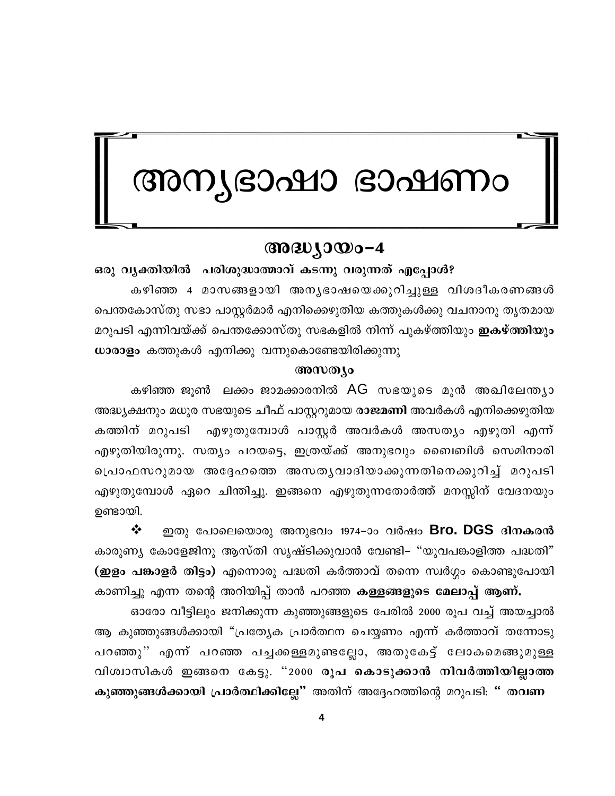# അന്യഭാഷാ ഭാഷണം

# $@0@0J0@0-4$

ഒരു വൃക്തിയിൽ പരിശുദ്ധാത്മാവ് കടന്നു വരുന്നത് എപ്പോൾ? കഴിഞ്ഞ 4 മാസങ്ങളായി അനൃഭാഷയെക്കുറിച്ചുള്ള വിശദീകരണങ്ങൾ പെന്തകോസ്തു സഭാ പാസ്റ്റർമാർ എനിക്കെഴുതിയ കത്തുകൾക്കു വചനാനു തൃതമായ മറുപടി എന്നിവയ്ക്ക് പെന്തക്കോസ്തു സഭകളിൽ നിന്ന് പുകഴ്ത്തിയും **ഇകഴ്ത്തിയും** ധാരാളം കത്തുകൾ എനിക്കു വന്നുകൊണ്ടേയിരിക്കുന്നു

### അസത്യം

കഴിഞ്ഞ ജൂൺ ലക്കം ജാമക്കാരനിൽ AG സഭയുടെ മുൻ അഖിലേന്ത്യാ അദ്ധ്യക്ഷനും മധുര സഭയുടെ ചീഫ് പാസ്റ്ററുമായ രാജമണി അവർകൾ എനിക്കെഴുതിയ കത്തിന് മറുപടി എഴുതുമ്പോൾ പാസ്റ്റർ അവർകൾ അസത്യം എഴുതി എന്ന് എഴുതിയിരുന്നു. സത്യം പറയട്ടെ, ഇത്രയ്ക്ക് അനുഭവും ബൈബിൾ സെമിനാരി പ്രൊഫസറുമായ അദ്ദേഹത്തെ അസതൃവാദിയാക്കുന്നതിനെക്കുറിച്ച് മറുപടി എഴുതുമ്പോൾ ഏറെ ചിന്തിച്ചു. ഇങ്ങനെ എഴുതുന്നതോർത്ത് മനസ്സിന് വേദനയും ഉണ്ടായി.

 $\cdot$ ഇതു പോലെയൊരു അനുഭവം 1974–ാം വർഷം Bro. DGS ദിനകരൻ കാരുണ്യ കോളേജിനു ആസ്തി സൃഷ്ടിക്കുവാൻ വേണ്ടി– "യുവപങ്കാളിത്ത പദ്ധതി" (ഇളം പങ്കാളർ തിട്ടം) എന്നൊരു പദ്ധതി കർത്താവ് തന്നെ സ്വർഗ്ഗം കൊണ്ടുപോയി

കാണിച്ചു എന്ന തന്റെ അറിയിപ്പ് താൻ പറഞ്ഞ കള്ളങ്ങളുടെ മേലാപ്പ് ആണ്. ഓരോ വീട്ടിലും ജനിക്കുന്ന കുഞ്ഞുങ്ങളുടെ പേരിൽ 2000 രൂപ വച്ച് അയച്ചാൽ ആ കുഞ്ഞുങ്ങൾക്കായി "പ്രത്യേക പ്രാർത്ഥന ചെയ്യണം എന്ന് കർത്താവ് തന്നോടു പറഞ്ഞു'' എന്ന് പറഞ്ഞ പച്ചകാള്ളമുണ്ടല്ലോ, അതുകേട്ട് ലോകമെങ്ങുമുള്ള വിശ്വാസികൾ ഇങ്ങനെ കേട്ടു. "2000 രൂപ കൊടുക്കാൻ നിവർത്തിയില്ലാത്ത കുഞ്ഞുങ്ങൾക്കായി പ്രാർത്ഥിക്കില്ലേ" അതിന് അദ്ദേഹത്തിന്റെ മറുപടി: " തവണ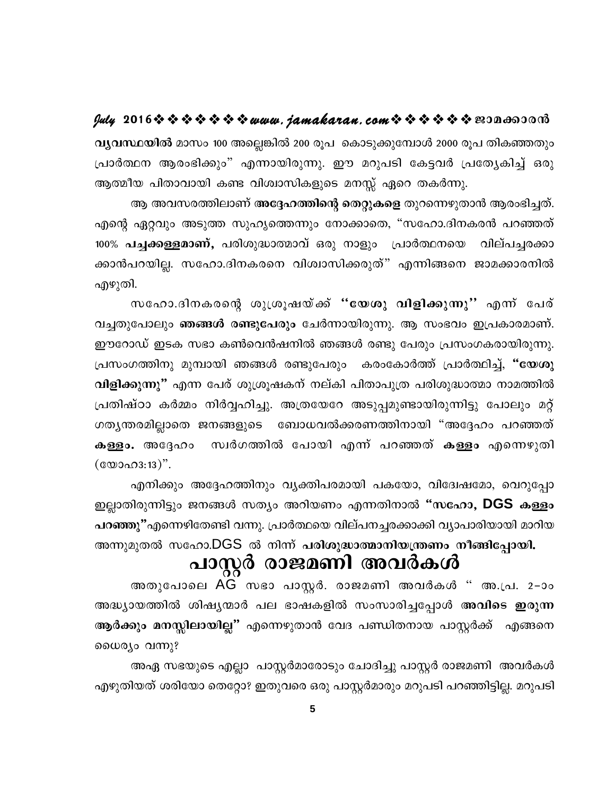വൃവസ്ഥയിൽ മാസം 100 അല്ലെങ്കിൽ 200 രൂപ കൊടുക്കുമ്പോൾ 2000 രൂപ തികഞ്ഞതും പ്രാർത്ഥന ആരംഭിക്കും" എന്നായിരുന്നു. ഈ മറുപടി കേട്ടവർ പ്രത്യേകിച്ച് ഒരു ആത്മീയ പിതാവായി കണ്ട വിശ്വാസികളുടെ മനസ്സ് ഏറെ തകർന്നു.

ആ അവസരത്തിലാണ് അദ്ദേഹത്തിന്റെ തെറ്റുകളെ തുറന്നെഴുതാൻ ആരംഭിച്ചത്. എന്റെ ഏറ്റവും അടുത്ത സുഹൃത്തെന്നും നോക്കാതെ, "സഹോ.ദിനകരൻ പറഞ്ഞത് 100% **പച്ചക്കള്ളമാണ്,** പരിശുദ്ധാത്മാവ് ഒരു നാളും പ്രാർത്ഥനയെ വില്പച്ചരക്കാ ക്കാൻപറയില്ല. സഹോ.ദിനകരനെ വിശ്വാസിക്കരുത്" എന്നിങ്ങനെ ജാമക്കാരനിൽ എഴുതി.

സഹോ.ദിനകരന്റെ ശുശ്രൂഷയ്ക്ക് "യേശു വിളിക്കുന്നു" എന്ന് പേര് വച്ചതുപോലും ഞങ്ങൾ രണ്ടുപേരും ചേർന്നായിരുന്നു. ആ സംഭവം ഇപ്രകാരമാണ്. ഈറോഡ് ഇടക സഭാ കൺവെൻഷനിൽ ഞങ്ങൾ രണ്ടു പേരും പ്രസംഗകരായിരുന്നു. പ്രസംഗത്തിനു മുമ്പായി ഞങ്ങൾ രണ്ടുപേരും കരംകോർത്ത് പ്രാർത്ഥിച്ച്, "യേശു വിളിക്കുന്നു" എന്ന പേര് ശുശ്രൂഷകന് നല്കി പിതാപുത്ര പരിശുദ്ധാത്മാ നാമത്തിൽ പ്രതിഷ്ഠാ കർമ്മം നിർവ്വഹിച്ചു. അത്രയേറേ അടുപ്പമുണ്ടായിരുന്നിട്ടു പോലും മറ്റ് ഗതൃന്തരമില്ലാതെ ജനങ്ങളുടെ ബോധവൽക്കരണത്തിനായി "അദ്ദേഹം പറഞ്ഞത് കള്ളം. അദ്ദേഹം സ്വർഗത്തിൽ പോയി എന്ന് പറഞ്ഞത് കള്ളം എന്നെഴുതി  $(\text{\textcircled{c}}\omega\text{0}\Omega\Omega\Omega\Omega)$ ".

എനിക്കും അദ്ദേഹത്തിനും വൃക്തിപരമായി പകയോ, വിദ്വേഷമോ, വെറുപ്പോ ഇല്ലാതിരുന്നിട്ടും ജനങ്ങൾ സത്യം അറിയണം എന്നതിനാൽ "സഹോ, DGS കള്ളം പറഞ്ഞു"എന്നെഴിതേണ്ടി വന്നു. പ്രാർത്ഥയെ വില്പനച്ചരക്കാക്കി വ്യാപാരിയായി മാറിയ അന്നുമുതൽ സഹോ.DGS ൽ നിന്ന് പരിശുദ്ധാത്മാനിയന്ത്രണം നീങ്ങിപ്പോയി.

# പാസ്റ്റർ രാജമണി അവർകൾ

അതുപോലെ AG സഭാ പാസ്റ്റർ. രാജമണി അവർകൾ " അ.പ്ര. 2-ാം അദ്ധ്യായത്തിൽ ശിഷ്യന്മാർ പല ഭാഷകളിൽ സംസാരിച്ചപ്പോൾ അവിടെ ഇരുന്ന ആർക്കും മനസ്സിലായില്ല" എന്നെഴുതാൻ വേദ പണ്ഡിതനായ പാസ്റ്റർക്ക് എങ്ങനെ ധൈര്യം വന്നു?

അഏ സഭയുടെ എല്ലാ പാസ്റ്റർമാരോടും ചോദിച്ചു പാസ്റ്റർ രാജമണി അവർകൾ എഴുതിയത് ശരിയോ തെറ്റോ? ഇതുവരെ ഒരു പാസ്റ്റർമാരും മറുപടി പറഞ്ഞിട്ടില്ല. മറുപടി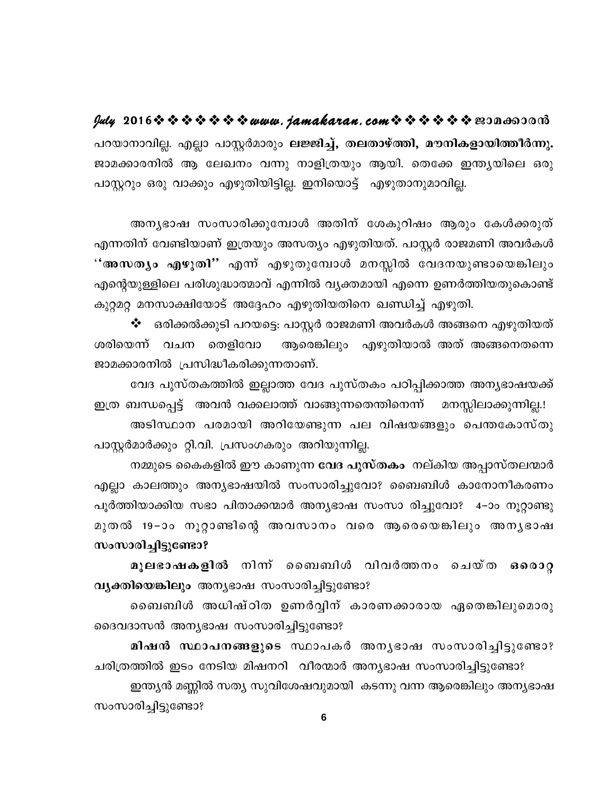പറയാനാവില്ല. എല്ലാ പാസ്റ്റർമാരും <mark>ലജ്ജിച്ച്, തലതാഴ്ത്തി, മൗനികളായിത്ത</mark>ീർന്നു. ജാമക്കാരനിൽ ആ ലേഖനം വന്നു നാളിത്രയും ആയി. തെക്കേ ഇന്ത്യയിലെ ഒരു പാസ്റ്ററും ഒരു വാക്കും എഴുതിയിട്ടില്ല. ഇനിയൊട്ട് എഴുതാനുമാവില്ല.

അനൃഭാഷ സംസാരിക്കുമ്പോൾ അതിന് ശേകുറിഷം ആരും കേൾക്കരുത് എന്നതിന് വേണ്ടിയാണ് ഇത്രയും അസത്യം എഴുതിയത്. പാസ്റ്റർ രാജമണി അവർകൾ ''അസതൃം എഴുതി'' എന്ന് എഴുതുമ്പോൾ മനസ്സിൽ വേദനയുണ്ടായെങ്കിലും എന്റെയുള്ളിലെ പരിശുദ്ധാത്മാവ് എന്നിൽ വ്യക്തമായി എന്നെ ഉണർത്തിയതുകൊണ്ട് കുറ്റമറ്റ മനസാക്ഷിയോട് അദ്ദേഹം എഴുതിയതിനെ ഖണ്ഡിച്ച് എഴുതി.

ഒരിക്കൽക്കുടി പറയട്ടെ: പാസ്റ്റർ രാജമണി അവർകൾ അങ്ങനെ എഴുതിയത് ❖ ശരിയെന്ന് വചന തെളിവോ ആരെങ്കിലും എഴുതിയാൽ അത് അങ്ങനെതന്നെ ജാമക്കാരനിൽ പ്രസിദ്ധീകരിക്കുന്നതാണ്.

വേദ പുസ്തകത്തിൽ ഇല്ലാത്ത വേദ പുസ്തകം പഠിപ്പിക്കാത്ത അന്യഭാഷയക്ക്

ഇത്ര ബന്ധപ്പെട്ട് അവൻ വക്കലാത്ത് വാങ്ങുന്നതെന്തിനെന്ന് മനസ്സിലാക്കുന്നില്ല.! അടിസ്ഥാന പരമായി അറിയേണ്ടുന്ന പല വിഷയങ്ങളും പെന്തകോസ്തു പാസ്റ്റർമാർക്കും റ്റി.വി. പ്രസംഗകരും അറിയുന്നില്ല.

നമ്മുടെ കൈകളിൽ ഈ കാണുന്ന **വേദ പുസ്തകം** നല്കിയ അപ്പാസ്തലന്മാർ എല്ലാ കാലത്തും അന്യഭാഷയിൽ സംസാരിച്ചുവോ? ബൈബിൾ കാനോനീകരണം പൂർത്തിയാക്കിയ സഭാ പിതാക്കന്മാർ അന്യഭാഷ സംസാ രിച്ചുവോ? 4–ാം നൂറ്റാണ്ടു മുതൽ 19−ാം നൂറ്റാണ്ടിന്റെ അവസാനം വരെ ആരെയെങ്കിലും അനൃഭാഷ സംസാരിച്ചിട്ടുണ്ടോ?

മൂലഭാഷകളിൽ നിന്ന ബൈബിൾ വിവർത്തനം ചെയ്ത  $6000Q$ വ്യക്തിയെങ്കിലും അന്യഭാഷ സംസാരിച്ചിട്ടുണ്ടോ?

ബൈബിൾ അധിഷ്ഠിത ഉണർവ്വിന് കാരണക്കാരായ ഏതെങ്കിലുമൊരു ദൈവദാസൻ അന്യഭാഷ സംസാരിച്ചിട്ടുണ്ടോ?

മിഷൻ സ്ഥാപനങ്ങളുടെ സ്ഥാപകർ അനൃഭാഷ സംസാരിച്ചിട്ടുണ്ടോ? ചരിത്രത്തിൽ ഇടം നേടിയ മിഷനറി വീരന്മാർ അന്യഭാഷ സംസാരിച്ചിട്ടുണ്ടോ? ഇന്ത്യൻ മണ്ണിൽ സത്യ സുവിശേഷവുമായി കടന്നു വന്ന ആരെങ്കിലും അന്യഭാഷ സംസാരിച്ചിട്ടുണ്ടോ?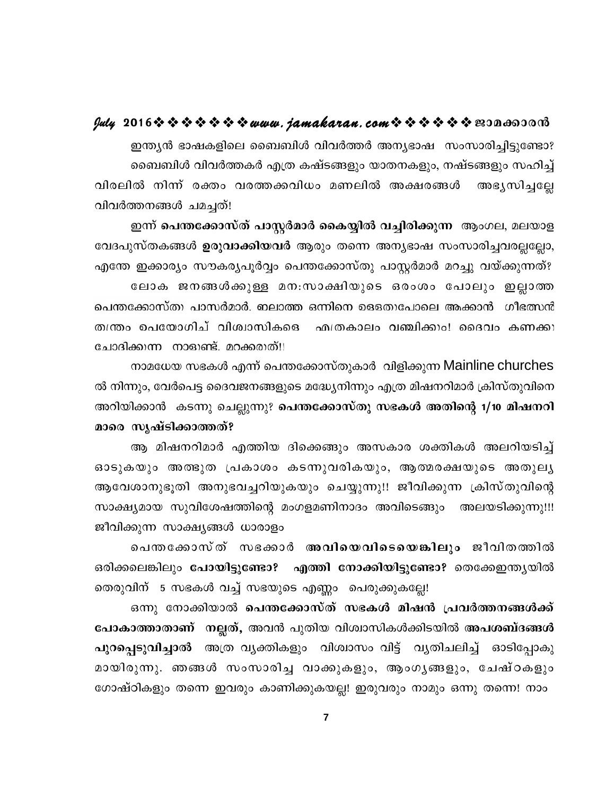ഇന്ത്യൻ ഭാഷകളിലെ ബൈബിൾ വിവർത്തർ അന്യഭാഷ സംസാരിച്ചിട്ടുണ്ടോ? ബൈബിൾ വിവർത്തകർ എത്ര കഷ്ടങ്ങളും യാതനകളും, നഷ്ടങ്ങളും സഹിച്ച് വിരലിൽ നിന്ന് രക്തം വരത്തക്കവിധം മണലിൽ അക്ഷരങ്ങൾ അഭ്യസിച്ചല്ലേ വിവർത്തനങ്ങൾ ചമചത്!

ഇന്ന് പെന്തക്കോസ്ത് പാസ്റ്റർമാർ കൈയ്യിൽ വച്ചിരിക്കുന്ന ആംഗല, മലയാള വേദപുസ്തകങ്ങൾ **ഉരുവാക്കിയവർ** ആരും തന്നെ അന്യഭാഷ സംസാരിച്ചവരല്ലല്ലോ, എന്തേ ഇക്കാര്യം സൗകര്യപൂർവ്വം പെന്തക്കോസ്തു പാസ്ലർമാർ മറച്ചു വയ്ക്കുന്നത്? ലോക ജനങ്ങൾക്കുള്ള മന:സാക്ഷിയുടെ ഒരംശം പോലും ഇല്ലാത്ത പെന്തക്കോസ്തു പാസർമാർ. ഇലാത്ത ഒന്നിനെ ഉെളതുപോലെ അക്കാൻ ഗീഭത്സൻ തന്ത്രം ഉപയോഗിച് വിശ്വാസികളെ <u> എത്രകാലം വഞ്ചിക്കും! ദൈവം കണക്കു</u> ചോദിക്കുന്ന നാളുണ്ട്. മറക്കരുത്!!

നാമധേയ സഭകൾ എന്ന് പെന്തക്കോസ്തുകാർ വിളിക്കുന്ന Mainline churches ൽ നിന്നും, വേർപെട്ട ദൈവജനങ്ങളുടെ മദ്ധ്യേനിന്നും എത്ര മിഷനറിമാർ ക്രിസ്തുവിനെ അറിയിക്കാൻ കടന്നു ചെല്ലുന്നു? പെന്തക്കോസ്തു സഭകൾ അതിന്റെ 1/10 മിഷനറി മാരെ സൃഷ്ടിക്കാത്തത്?

ആ മിഷനറിമാർ എത്തിയ ദിക്കെങ്ങും അസകാര ശക്തികൾ അലറിയടിച്ച് ഓടുകയും അത്ഭുത പ്രകാശം കടന്നുവരികയും, ആത്മരക്ഷയുടെ അതുലൃ ആവേശാനുഭൂതി അനുഭവച്ചറിയുകയും ചെയ്യുന്നു!! ജീവിക്കുന്ന ക്രിസ്തുവിന്റെ സാക്ഷ്യമായ സുവിശേഷത്തിന്റെ മംഗളമണിനാദം അവിടെങ്ങും അലയടിക്കുന്നു!!! ജീവിക്കുന്ന സാക്ഷ്യങ്ങൾ ധാരാളം

പെന്തക്കോസ്ത് സഭക്കാർ അവിയെവിടെയെങ്കിലും ജീവിതത്തിൽ ഒരിക്കലെങ്കിലും പോയിട്ടുണ്ടോ? എത്തി നോക്കിയിട്ടുണ്ടോ? തെക്കേഇന്ത്യയിൽ തെരുവിന് 5 സഭകൾ വച്ച് സഭയുടെ എണ്ണം പെരുക്കുകല്ലേ!

ഒന്നു നോക്കിയാൽ പെന്തക്കോസ്ത് സഭകൾ മിഷൻ പ്രവർത്തനങ്ങൾക്ക് പോകാത്താതാണ് നല്ലത്, അവൻ പുതിയ വിശ്വാസികൾക്കിടയിൽ അപശബ്ദങ്ങൾ പുറപ്പെടുവിച്ചാൽ അത്ര വ്യക്തികളും വിശ്വാസം വിട്ട് വ്യതിചലിച്ച് ഓടിപ്പോകു മായിരുന്നു. ഞങ്ങൾ സംസാരിച്ച വാക്കുകളും, ആംഗൃങ്ങളും, ചേഷ്ഠകളും ഗോഷ്ഠികളും തന്നെ ഇവരും കാണിക്കുകയല്ല! ഇരുവരും നാമും ഒന്നു തന്നെ! നാം

 $\overline{7}$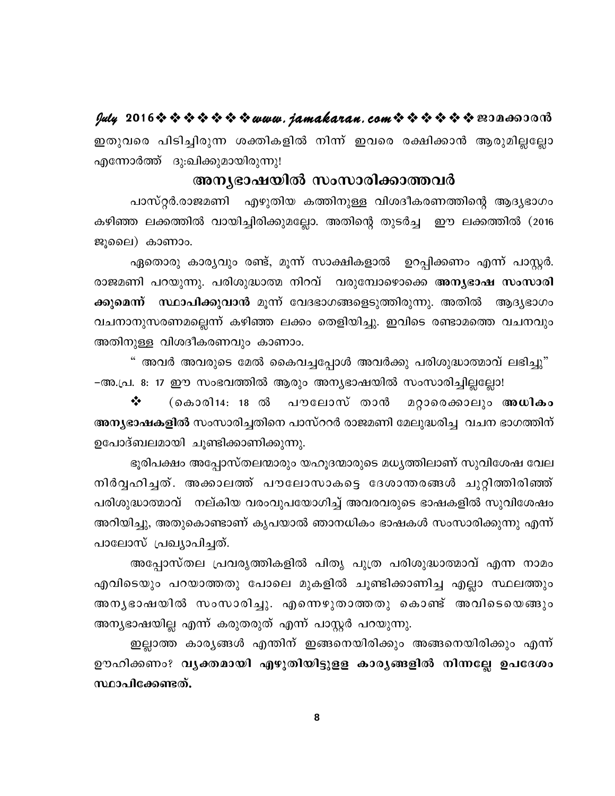ഇതുവരെ പിടിച്ചിരുന്ന ശക്തികളിൽ നിന്ന് ഇവരെ രക്ഷിക്കാൻ ആരുമില്ലല്ലോ എന്നോർത്ത് ദു:ഖിക്കുമായിരുന്നു!

### അനൃഭാഷയിൽ സംസാരിക്കാത്തവർ

പാസ്റ്റർ.രാജമണി എഴുതിയ കത്തിനുള്ള വിശദീകരണത്തിന്റെ ആദ്യഭാഗം കഴിഞ്ഞ ലക്കത്തിൽ വായിച്ചിരിക്കുമല്ലോ. അതിന്റെ തുടർച്ച ഈ ലക്കത്തിൽ (2016 ജൂലൈ) കാണാം.

ഏതൊരു കാര്യവും രണ്ട്, മൂന്ന് സാക്ഷികളാൽ ഉറപ്പിക്കണം എന്ന് പാസ്റ്റർ. രാജമണി പറയുന്നു. പരിശുദ്ധാത്മ നിറവ് വരുമ്പോഴൊക്കെ അനൃഭാഷ സംസാരി ക്കുമെന്ന് സ്ഥാപിക്കുവാൻ മൂന്ന് വേദഭാഗങ്ങളെടുത്തിരുന്നു. അതിൽ ആദ്യഭാഗം വചനാനുസരണമല്ലെന്ന് കഴിഞ്ഞ ലക്കം തെളിയിച്ചു. ഇവിടെ രണ്ടാമത്തെ വചനവും അതിനുള്ള വിശദീകരണവും കാണാം.

" അവർ അവരുടെ മേൽ കൈവച്ചപ്പോൾ അവർക്കു പരിശുദ്ധാത്മാവ് ലഭിച്ചു" -അ.പ്ര. 8: 17 ഈ സംഭവത്തിൽ ആരും അന്യഭാഷയിൽ സംസാരിച്ചില്ലല്ലോ!

❖ (കൊരി14: 18 ൽ പൗലോസ് താൻ മറ്റാരെക്കാലും അധികം അന്യഭാഷകളിൽ സംസാരിച്ചതിനെ പാസ്ററർ രാജമണി മേലുദ്ധരിച്ച വചന ഭാഗത്തിന് ഉപോദ്ബലമായി ചൂണ്ടിക്കാണിക്കുന്നു.

ഭൂരിപക്ഷം അപ്പോസ്തലന്മാരും യഹൂദന്മാരുടെ മധ്യത്തിലാണ് സുവിശേഷ വേല നിർവ്വഹിച്ചത്. അക്കാലത്ത് പൗലോസാകട്ടെ ദേശാന്തരങ്ങൾ ചുറ്റിത്തിരിഞ്ഞ് പരിശുദ്ധാത്മാവ് നല്കിയ വരംവുപയോഗിച്ച് അവരവരുടെ ഭാഷകളിൽ സുവിശേഷം അറിയിച്ചു, അതുകൊണ്ടാണ് കൃപയാൽ ഞാനധികം ഭാഷകൾ സംസാരിക്കുന്നു എന്ന് പാലോസ് പ്രഖ്യാപിച്ചത്.

അപ്പോസ്തല പ്രവരൃത്തികളിൽ പിതൃ പുത്ര പരിശുദ്ധാത്മാവ് എന്ന നാമം എവിടെയും പറയാത്തതു പോലെ മുകളിൽ ചൂണ്ടിക്കാണിച്ച എല്ലാ സ്ഥലത്തും അനൃഭാഷയിൽ സംസാരിച്ചു. എന്നെഴുതാത്തതു കൊണ്ട് അവിടെയെങ്ങും അന്യഭാഷയില്ല എന്ന് കരുതരുത് എന്ന് പാസ്റ്റർ പറയുന്നു.

ഇല്ലാത്ത കാരൃങ്ങൾ എന്തിന് ഇങ്ങനെയിരിക്കും അങ്ങനെയിരിക്കും എന്ന് ഊഹിക്കണം? വൃക്തമായി എഴുതിയിട്ടുളള കാരൃങ്ങളിൽ നിന്നല്ലേ ഉപദേശം സ്ഥാപിക്കേണ്ടത്.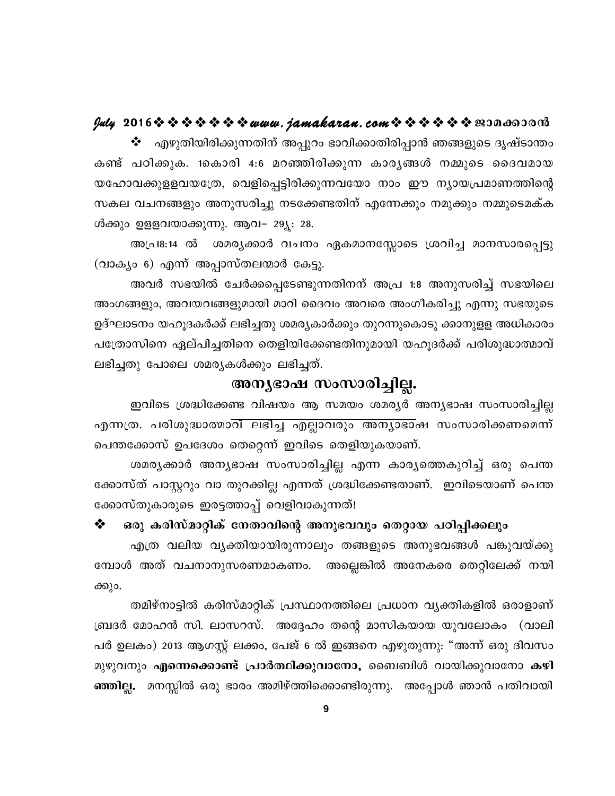എഴുതിയിരിക്കുന്നതിന് അപ്പുറം ഭാവിക്കാതിരിപ്പാൻ ഞങ്ങളുടെ ദൃഷ്ടാന്തം ❖ കണ്ട് പഠിക്കുക. 1കൊരി 4:6 മറഞ്ഞിരിക്കുന്ന കാരൃങ്ങൾ നമ്മുടെ ദൈവമായ യഹോവക്കുളളവയത്രേ, വെളിപ്പെട്ടിരിക്കുന്നവയോ നാം ഈ ന്യായപ്രമാണത്തിന്റെ സകല വചനങ്ങളും അനുസരിച്ചു നടക്കേണ്ടതിന് എന്നേക്കും നമുക്കും നമ്മുടെമക്ക ൾക്കും ഉളളവയാക്കുന്നു. ആവ– 29്യ: 28.

അപ്രഃ:14 ൽ ശമര്യക്കാർ വചനം ഏകമാനസ്സോടെ ശ്രവിച്ച മാനസാരപ്പെട്ടു (വാക്യം 6) എന്ന് അപ്പാസ്തലന്മാർ കേട്ടു.

അവർ സഭയിൽ ചേർക്കപ്പെടേണ്ടുന്നതിനന് അപ്ര 1:8 അനുസരിച്ച് സഭയിലെ അംഗങ്ങളും, അവയവങ്ങളുമായി മാറി ദൈവം അവരെ അംഗീകരിച്ചു എന്നു സഭയുടെ ഉദ്ഘാടനം യഹൂദകർക്ക് ലഭിച്ചതു ശമര്യകാർക്കും തുറന്നുകൊടു ക്കാനുളള അധികാരം പത്രോസിനെ ഏല്പിച്ചതിനെ തെളിയിക്കേണ്ടതിനുമായി യഹൂദർക്ക് പരിശുദ്ധാത്മാവ് ലഭിച്ചതു പോലെ ശമര്യകൾക്കും ലഭിച്ചത്.

### അന്യഭാഷ സംസാരിച്ചില്ല.

ഇവിടെ ശ്രദ്ധിക്കേണ്ട വിഷയം ആ സമയം ശമര്യർ അന്യഭാഷ സംസാരിച്ചില്ല എന്നത്ര. പരിശുദ്ധാത്മാവ് ലഭിച്ച എല്ലാവരും അന്യാഭാഷ സംസാരിക്കണമെന്ന് പെന്തക്കോസ് ഉപദേശം തെറ്റെന്ന് ഇവിടെ തെളിയുകയാണ്.

ശമരൃക്കാർ അനൃഭാഷ സംസാരിച്ചില്ല എന്ന കാരൃത്തെകുറിച്ച് ഒരു പെന്ത ക്കോസ്ത് പാസ്റ്ററും വാ തുറക്കില്ല എന്നത് ശ്രദ്ധിക്കേണ്ടതാണ്. ഇവിടെയാണ് പെന്ത ക്കോസ്തുകാരുടെ ഇരട്ടത്താപ്പ് വെളിവാകുന്നത്!

### ❖ ഒരു കരിസ്മാറ്റിക് നേതാവിന്റെ അനുഭവവും തെറ്റായ പഠിപ്പിക്കലും

എത്ര വലിയ വൃക്തിയായിരുന്നാലും തങ്ങളുടെ അനുഭവങ്ങൾ പങ്കുവയ്ക്കു മ്പോൾ അത് വചനാനുസരണമാകണം. അല്ലെങ്കിൽ അനേകരെ തെറ്റിലേക്ക് നയി ക്കും.

തമിഴ്നാട്ടിൽ കരിസ്മാറ്റിക് പ്രസ്ഥാനത്തിലെ പ്രധാന വ്യക്തികളിൽ ഒരാളാണ് ബ്രദർ മോഹൻ സി. ലാസറസ്. അദ്ദേഹം തന്റെ മാസികയായ യുവലോകം (വാലി പർ ഉലകം) 2013 ആഗസ്റ്റ് ലക്കം, പേജ് 6 ൽ ഇങ്ങനെ എഴുതുന്നു: "അന്ന് ഒരു ദിവസം മുഴുവനും എന്നെക്കൊണ്ട് പ്രാർത്ഥിക്കുവാനോ, ബൈബിൾ വായിക്കുവാനോ കഴി ഞ്ഞില്ല. മനസ്സിൽ ഒരു ഭാരം അമിഴ്ത്തിക്കൊണ്ടിരുന്നു. അപ്പോൾ ഞാൻ പതിവായി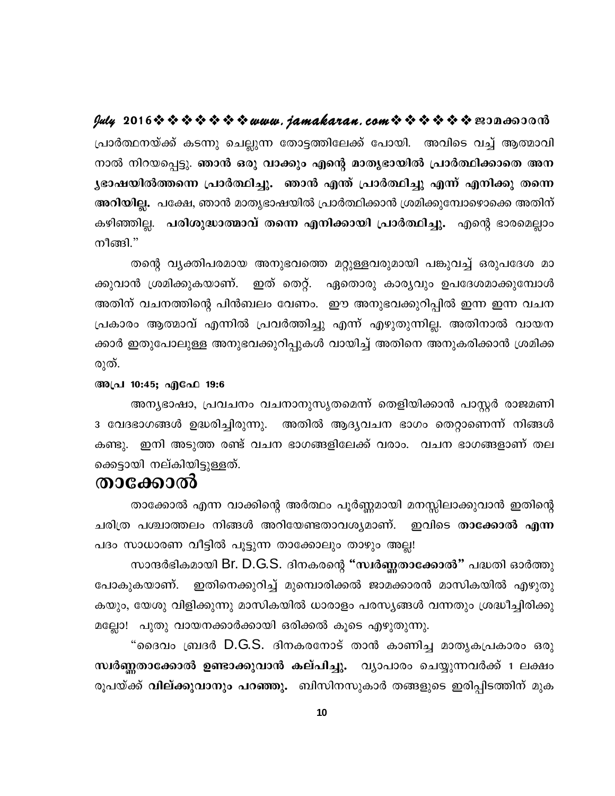$\frac{dy}{dx}$  2016 \$ \$ \$ \$ \$ \$ \$ www.jamakaran.com \$ \$ \$ \$ \$ \$ B3Da603013 പ്രാർത്ഥനയ്ക്ക് കടന്നു ചെല്ലുന്ന തോട്ടത്തിലേക്ക് പോയി. അവിടെ വച്ച് ആത്മാവി നാൽ നിറയപ്പെട്ടു. ഞാൻ ഒരു വാക്കും എന്റെ മാതൃഭായിൽ പ്രാർത്ഥിക്കാതെ അന ൃഭാഷയിൽത്തന്നെ പ്രാർത്ഥിച്ചു. ഞാൻ എന്ത് പ്രാർത്ഥിച്ചു എന്ന് എനിക്കു തന്നെ അറിയില്ല. പക്ഷേ, ഞാൻ മാതൃഭാഷയിൽ പ്രാർത്ഥിക്കാൻ ശ്രമിക്കുമ്പോഴൊക്കെ അതിന് കഴിഞ്ഞില്ല. പരിശുദ്ധാത്മാവ് തന്നെ എനിക്കായി പ്രാർത്ഥിച്ചു. എന്റെ ഭാരമെല്ലാം നീങ്ങി."

തന്റെ വൃക്തിപരമായ അനുഭവത്തെ മറ്റുള്ളവരുമായി പങ്കുവച്ച് ഒരുപദേശ മാ ഇത് തെറ്റ്. ഏതൊരു കാര്യവും ഉപദേശമാക്കുമ്പോൾ ക്കുവാൻ ശ്രമിക്കുകയാണ്. അതിന് വചനത്തിന്റെ പിൻബലം വേണം. ഈ അനുഭവക്കുറിപ്പിൽ ഇന്ന ഇന്ന വചന പ്രകാരം ആത്മാവ് എന്നിൽ പ്രവർത്തിച്ചു എന്ന് എഴുതുന്നില്ല. അതിനാൽ വായന ക്കാർ ഇതുപോലുള്ള അനുഭവക്കുറിപ്പുകൾ വായിച്ച് അതിനെ അനുകരിക്കാൻ ശ്രമിക്ക രുത്.

### അപ്ര 10:45; എഫേ 19:6

അന്യഭാഷാ, പ്രവചനം വചനാനുസൃതമെന്ന് തെളിയിക്കാൻ പാസ്റ്റർ രാജമണി 3 വേദഭാഗങ്ങൾ ഉദ്ധരിച്ചിരുന്നു. അതിൽ ആദ്യവചന ഭാഗം തെറ്റാണെന്ന് നിങ്ങൾ കണ്ടു. ഇനി അടുത്ത രണ്ട് വചന ഭാഗങ്ങളിലേക്ക് വരാം. വചന ഭാഗങ്ങളാണ് തല ക്കെടായി നല്കിയിട്ടുള്ളത്.

### താക്കോൽ

താക്കോൽ എന്ന വാക്കിന്റെ അർത്ഥം പൂർണ്ണമായി മനസ്സിലാക്കുവാൻ ഇതിന്റെ ചരിത്ര പശ്ചാത്തലം നിങ്ങൾ അറിയേണ്ടതാവശ്യമാണ്. ഇവിടെ താ**ക്കോൽ എന്ന** പദം സാധാരണ വീട്ടിൽ പൂട്ടുന്ന താക്കോലും താഴും അല്ല!

സാന്ദർഭികമായി Br. D.G.S. ദിനകരന്റെ "സ്വർണ്ണതാക്കോൽ" പദ്ധതി ഓർത്തു പോകുകയാണ്. ഇതിനെക്കുറിച്ച് മുമ്പൊരിക്കൽ ജാമക്കാരൻ മാസികയിൽ എഴുതു കയും, യേശു വിളിക്കുന്നു മാസികയിൽ ധാരാളം പരസ്യങ്ങൾ വന്നതും ശ്രദ്ധീച്ചിരിക്കു മല്ലോ! പുതു വായനക്കാർക്കായി ഒരിക്കൽ കൂടെ എഴുതുന്നു.

"ദൈവം ബ്രദർ D.G.S. ദിനകരനോട് താൻ കാണിച്ച മാതൃകപ്രകാരം ഒരു സ്ഥർണ്ണതാക്കോൽ ഉണ്ടാക്കുവാൻ കല്പിച്ചു. വ്യാപാരം ചെയ്യുന്നവർക്ക് 1 ലക്ഷം രൂപയ്ക്ക് **വില്ക്കുവാനും പറഞ്ഞു.** ബിസിനസുകാർ തങ്ങളുടെ ഇരിപ്പിടത്തിന് മുക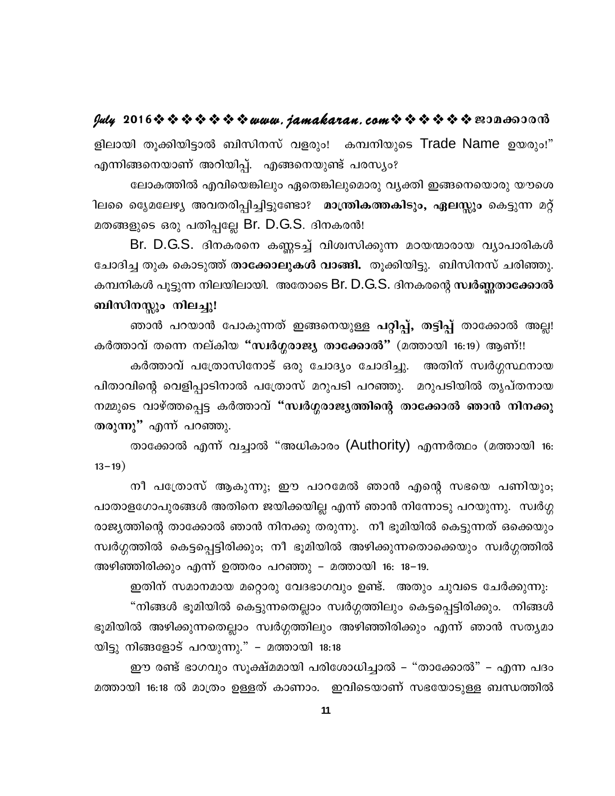### $y$ uly 2016  $\rightsquigarrow \rightsquigarrow \rightsquigarrow \rightsquigarrow \rightsquigarrow w$ uuu. jamakaran. com $\rightsquigarrow \rightsquigarrow \rightsquigarrow \rightsquigarrow \rightsquigarrow w$ 200600000

ളിലായി തുക്കിയിട്ടാൽ ബിസിനസ് വളരും! കമ്പനിയുടെ Trade Name ഉയരും!" എന്നിങ്ങനെയാണ് അറിയിപ്പ്. എങ്ങനെയുണ്ട് പരസ്യം?

ലോകത്തിൽ എവിയെങ്കിലും ഏതെങ്കിലുമൊരു വ്യക്തി ഇങ്ങനെയൊരു യൗശെ ിലരെ ദ്യെമലേഴ്യ അവതരിപ്പിച്ചിട്ടുണ്ടോ? മാന്ത്രികത്തകിടും, ഏലസ്സും കെട്ടുന്ന മറ്റ് മതങ്ങളുടെ ഒരു പതിപ്പല്ലേ Br. D.G.S. ദിനകരൻ!

Br. D.G.S. ദിനകരനെ കണ്ണടച്ച് വിശ്വസിക്കുന്ന മഠയന്മാരായ വ്യാപാരികൾ ചോദിച്ച തുക കൊടുത്ത് <mark>താക്കോലുകൾ വാങ്ങി.</mark> തൂക്കിയിട്ടു. ബിസിനസ് ചരിഞ്ഞു. കമ്പനികൾ പൂട്ടുന്ന നിലയിലായി. അതോടെ Br. D.G.S. ദിനകരന്റെ സ്ഥർണ്ണതാക്കോൽ ബിസിനസ്സും നിലച്ചു!

ഞാൻ പറയാൻ പോകുന്നത് ഇങ്ങനെയുള്ള പറ്റിപ്പ്, തട്ടിപ്പ് താക്കോൽ അല്ല! കർത്താവ് തന്നെ നല്കിയ "സ്വർഗ്ഗരാജ്യ താക്കോൽ" (മത്തായി 16:19) ആണ്!!

കർത്താവ് പത്രോസിനോട് ഒരു ചോദ്യം ചോദിച്ചു. അതിന് സ്വർഗ്ഗസ്ഥനായ പിതാവിന്റെ വെളിപ്പാടിനാൽ പത്രോസ് മറുപടി പറഞ്ഞു. മറുപടിയിൽ തൃപ്തനായ നമ്മുടെ വാഴ്ത്തപ്പെട്ട കർത്താവ് "സ്വർഗ്ഗരാജ്യത്തിന്റെ താക്കോൽ ഞാൻ നിനക്കു തരുന്നു" എന്ന് പറഞ്ഞു.

താക്കോൽ എന്ന് വച്ചാൽ "അധികാരം (Authority) എന്നർത്ഥം (മത്തായി 16:  $13 - 19$ )

നീ പത്രോസ് ആകുന്നു; ഈ പാറമേൽ ഞാൻ എന്റെ സഭയെ പണിയും; പാതാളഗോപുരങ്ങൾ അതിനെ ജയിക്കയില്ല എന്ന് ഞാൻ നിന്നോടു പറയുന്നു. സ്വർഗ്ഗ രാജ്യത്തിന്റെ താക്കോൽ ഞാൻ നിനക്കു തരുന്നു. നീ ഭൂമിയിൽ കെട്ടുന്നത് ഒക്കെയും സ്വർഗ്ഗത്തിൽ കെട്ടപ്പെട്ടിരിക്കും; നീ ഭൂമിയിൽ അഴിക്കുന്നതൊക്കെയും സ്വർഗ്ഗത്തിൽ അഴിഞ്ഞിരിക്കും എന്ന് ഉത്തരം പറഞ്ഞു – മത്തായി 16: 18–19.

ഇതിന് സമാനമായ മറ്റൊരു വേദഭാഗവും ഉണ്ട്. അതും ചുവടെ ചേർക്കുന്നു: "നിങ്ങൾ ഭൂമിയിൽ കെട്ടുന്നതെല്ലാം സ്വർഗ്ഗത്തിലും കെട്ടപ്പെട്ടിരിക്കും. നിങ്ങൾ ഭൂമിയിൽ അഴിക്കുന്നതെല്ലാം സ്വർഗ്ഗത്തിലും അഴിഞ്ഞിരിക്കും എന്ന് ഞാൻ സത്യമാ യിട്ടു നിങ്ങളോട് പറയുന്നു." – മത്തായി 18:18

ഈ രണ്ട് ഭാഗവും സൂക്ഷ്മമായി പരിശോധിച്ചാൽ – "താക്കോൽ" – എന്ന പദം മത്തായി 16:18 ൽ മാത്രം ഉള്ളത് കാണാം. ഇവിടെയാണ് സഭയോടുള്ള ബന്ധത്തിൽ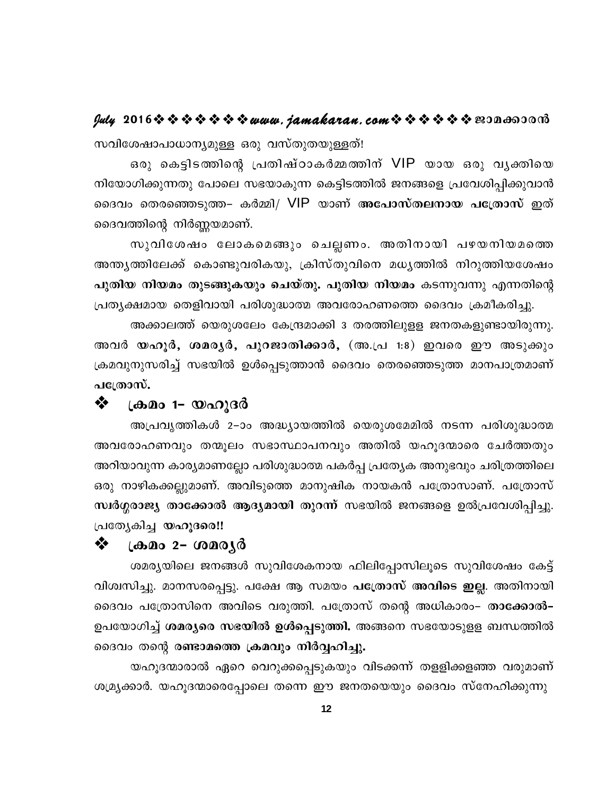# **July 2016www.jamakaran.comPma¡mc³**

khn -ti-jm-]m-[m-\ -y-apÅ Hcp hkvXpXbpÅ-Xv! സവിശേഷാപാധാന്യമുള്ള ഒരു വസ്തുതയുള്ളത്!<br>പത്രിയ ഒരു കെട്ടിടത്തിന്റെ പ്രതിഷ്ഠാകർമ്മത്തിന് VIP യായ ഒരു വൃക്തിയെ നിയോഗിക്കുന്നതു പോലെ സഭയാകുന്ന കെട്ടിടത്തിൽ ജനങ്ങളെ പ്രവേശിപ്പിക്കുവാൻ ദൈവത്തിന്റെ നിർണ്ണയമാണ്. ശിക്കുന്നതു പോലെ സഭയാകുന്ന കെട്ടിടത്തിൽ ജനങ്ങളെ പ്രവേശിപ്പിക്കുവാൻ<br>പതെരഞ്ഞെടുത്ത– കർമ്മി/ VIP യാണ് അപോസ്തലനായ പത്രോസ് ഇത്<br>ത്തിന്റെ നിർണ്ണയമാണ്.<br>സുവിശേഷം ലോകമെങ്ങും ചെല്ലണം. അതിനായി പഴയനിയമത്തെ<br>ത്തിലേക്ക് കൊണ്ടുവരികയു, ക്ര

ദൈവം തെരഞ്ഞെടുത്ത– കർമ്മി/ VIP യാണ് അ**പോസ്തലനായ പത്രോസ്** ഇത്<br>ദൈവത്തിന്റെ നിർണ്ണയമാണ്.<br>സുവിശേഷം ലോകമെങ്ങും ചെല്ലണം. അതിനായി പഴയനിയമത്തെ<br>അന്ത്യത്തിലേക്ക് കൊണ്ടുവരികയു, ക്രിസ്തുവിനെ മധ്യത്തിൽ നിറുത്തിയശേഷം<br>പുതിയ നിയമം തുടങ്ങ **പുതിയ നിയമം തുടങ്ങുകയും ചെയ്തു. പുതിയ നിയമം** കടന്നുവന്നു എന്നതിന്റെ (പതൃക്ഷമായ തെളിവായി പരിശുദ്ധാത്മ അവരോഹണത്തെ ദൈവം ക്രമീകരിച്ചു.

അക്കാലത്ത് യെരുശലേം കേന്ദ്രമാക്കി 3 തരത്തിലുളള ജനതകളുണ്ടായിരുന്നു. അവർ **യഹൂർ, ശമര്യർ, പുറജാതിക്കാർ,** (അ.പ്ര 1:8) ഇവരെ ഈ അടുക്കും ക്രമവുനുസരിച്ച് സഭയിൽ ഉൾപ്പെടുത്താൻ ദൈവം തെരഞ്ഞെടുത്ത മാനപാത്രമാണ് പ**്രോസ്.** 

### � (കമം 1– യഹുദർ

അപ്രവൃത്തികൾ 2–ാം അദ്ധ്യായത്തിൽ യെരുശമേമിൽ നടന്ന പരിശുദ്ധാത്മ അവരോഹണവും തന്മൂലം സഭാസ്ഥാപനവും അതിൽ യഹൂദന്മാരെ ചേർത്തതും അറിയാവുന്ന കാര്യമാണല്ലോ പരിശുദ്ധാത്മ പകർപ്പ പ്രത്യേക അനുഭവും ചരിത്രത്തിലെ ഒരു നാഴികക്കല്ലുമാണ്. അവിടുത്തെ മാനുഷിക നായകൻ പത്രോസാണ്. പത്രോസ് സ്ഥർഗ്ഗരാജ്യ താക്കോൽ ആദ്യമായി തുറന്ന് സഭയിൽ ജനങ്ങളെ ഉൽപ്രവേശിപ്പിച്ചു.  $\lfloor \alpha \rfloor$ ത്യേകിച്ച യഹൂദരെ!!

### ❖ (കമം 2– ശമരൃർ

ശമര്യയിലെ ജനങ്ങൾ സുവിശേകനായ ഫിലിപ്പോസിലൂടെ സുവിശേഷം കേട്ട് വിശ്വസിച്ചു. മാനസരപ്പെട്ടു. പക്ഷേ ആ സമയം **പത്രോസ് അവിടെ ഇല്ല**. അതിനായി ദൈവം പത്രോസിനെ അവിടെ വരുത്തി. പത്രോസ് തന്റെ അധികാര<del>ം</del>– താക്കോൽ– ഉപയോഗിച്ച് **ശമര്യരെ സഭയിൽ ഉൾപ്പെടുത്തി.** അങ്ങനെ സഭയോടുളള ബന്ധത്തിൽ ദൈവം തന്റെ ര**ണ്ടാമത്തെ ക്രമവും നിർവ്വഹിച്ചു.** 

യഹൂദന്മാരാൽ ഏറെ വെറുക്കപ്പെടുകയും വിടക്കന്ന് തളളിക്കളഞ്ഞ വരുമാണ് ശമ്ര്യക്കാർ. യഹൂദന്മാരെപ്പോലെ തന്നെ ഈ ജനതയെയും ദൈവം സ്നേഹിക്കുന്നു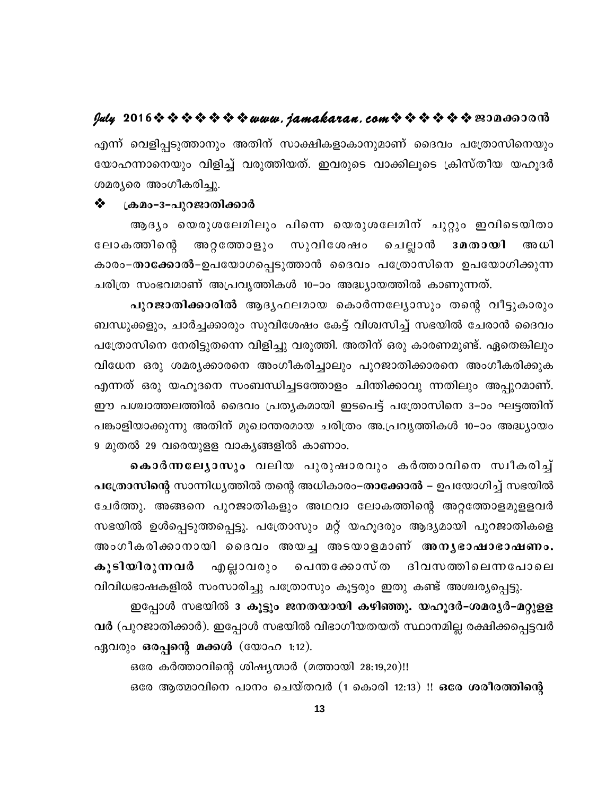എന്ന് വെളിപ്പടുത്താനും അതിന് സാക്ഷികളാകാനുമാണ് ദൈവം പത്രോസിനെയും യോഹന്നാനെയും വിളിച്ച് വരുത്തിയത്. ഇവരുടെ വാക്കിലൂടെ ക്രിസ്തീയ യഹൂദർ ശമര്യരെ അംഗീകരിച്ചു.

### ❖ ക്രമം-3-പുറജാതിക്കാർ

ആദ്യം യെരുശലേമിലും പിന്നെ യെരുശലേമിന് ചുറ്റും ഇവിടെയിതാ ലോകത്തിന്റെ അറ്റത്തോളും സുവിശേഷം ചെല്ലാൻ 3 മതായി അധി കാരം–താക്കോൽ–ഉപയോഗപ്പെടുത്താൻ ദൈവം പത്രോസിനെ ഉപയോഗിക്കുന്ന ചരിത്ര സംഭവമാണ് അപ്രവൃത്തികൾ 10–ാം അദ്ധ്യായത്തിൽ കാണുന്നത്.

പുറജാതിക്കാരിൽ ആദൃഫലമായ കൊർന്നല്യോസും തന്റെ വീട്ടുകാരും ബന്ധുക്കളും, ചാർച്ചക്കാരും സുവിശേഷം കേട്ട് വിശ്വസിച്ച് സഭയിൽ ചേരാൻ ദൈവം പത്രോസിനെ നേരിട്ടുതന്നെ വിളിച്ചു വരുത്തി. അതിന് ഒരു കാരണമുണ്ട്. ഏതെങ്കിലും വിധേന ഒരു ശമര്യക്കാരനെ അംഗീകരിച്ചാലും പുറജാതിക്കാരനെ അംഗീകരിക്കുക എന്നത് ഒരു യഹൂദനെ സംബന്ധിച്ചടത്തോളം ചിന്തിക്കാവു ന്നതിലും അപ്പുറമാണ്. ഈ പശ്ചാത്തലത്തിൽ ദൈവം പ്രത്യകമായി ഇടപെട്ട് പത്രോസിനെ 3–ാം ഘട്ടത്തിന് പങ്കാളിയാക്കുന്നു അതിന് മുഖാന്തരമായ ചരിത്രം അ.പ്രവൃത്തികൾ 10–ാം അദ്ധ്യായം 9 മുതൽ 29 വരെയുളള വാകൃങ്ങളിൽ കാണാം.

കൊർന്നലേൃാസും വലിയ പുരുഷാരവും കർത്താവിനെ സ്വീകരിച്ച് പത്രോസിന്റെ സാന്നിധ്യത്തിൽ തന്റെ അധികാരം–താക്കോൽ – ഉപയോഗിച്ച് സഭയിൽ ചേർത്തു. അങ്ങനെ പുറജാതികളും അഥവാ ലോകത്തിന്റെ അറ്റത്തോളമുളളവർ സഭയിൽ ഉൾപ്പെടുത്തപ്പെട്ടു. പത്രോസും മറ്റ് യഹൂദരും ആദ്യമായി പുറജാതികളെ അംഗീകരിക്കാനായി ദൈവം അയച്ച അടയാളമാണ് അനൃഭാഷാഭാഷണം. എല്ലാവരും പെന്തക്കോസ്ത ദിവസത്തിലെന്നപോലെ കൂടിയിരുന്നവർ

വിവിധഭാഷകളിൽ സംസാരിച്ചു പത്രോസും കൂട്ടരും ഇതു കണ്ട് അശ്ചര്യപ്പെട്ടു. ഇപ്പോൾ സഭയിൽ 3 കൂട്ടും ജനതയായി കഴിഞ്ഞു. യഹൂദർ-ശമര്യർ-മറ്റുളള വർ (പുറജാതിക്കാർ). ഇപ്പോൾ സഭയിൽ വിഭാഗീയതയത് സ്ഥാനമില്ല രക്ഷിക്കപ്പെട്ടവർ ഏവരും ഒരപ്പന്റെ മക്കൾ (യോഹ 1:12).

ഒരേ കർത്താവിന്റെ ശിഷ്യന്മാർ (മത്തായി 28:19,20)!!

ഒരേ ആത്മാവിനെ പാനം ചെയ്തവർ (1 കൊരി 12:13) !! ഒരേ ശരീരത്തിന്റെ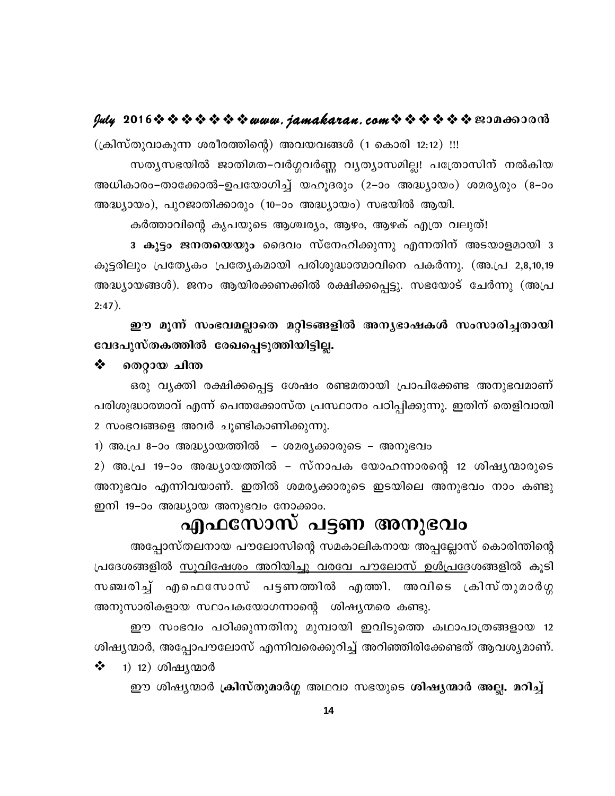(ക്രിസ്തുവാകുന്ന ശരീരത്തിന്റെ) അവയവങ്ങൾ (1 കൊരി 12:12) !!! സത്യസഭയിൽ ജാതിമത–വർഗ്ഗവർണ്ണ വ്യത്യാസമില്ല! പത്രോസിന് നൽകിയ അധികാരം–താക്കോൽ–ഉപയോഗിച്ച് യഹൂദരും (2–ാം അദ്ധ്യായം) ശമര്യരും (8–ാം അദ്ധ്യായം), പുറജാതിക്കാരും (10–ാം അദ്ധ്യായം) സഭയിൽ ആയി.

കർത്താവിന്റെ കൃപയുടെ ആശ്ചര്യം, ആഴം, ആഴക് എത്ര വലുത്!

3 കൂട്ടം ജനതയെയും ദൈവം സ്നേഹിക്കുന്നു എന്നതിന് അടയാളമായി 3 കൂട്ടരിലും പ്രത്യേകം പ്രത്യേകമായി പരിശുദ്ധാത്മാവിനെ പകർന്നു. (അ.പ്ര 2,8,10,19 അദ്ധ്യായങ്ങൾ). ജനം ആയിരക്കണക്കിൽ രക്ഷിക്കപ്പെട്ടു. സഭയോട് ചേർന്നു (അപ്ര  $2:47$ ).

ഈ മൂന്ന് സംഭവമല്ലാതെ മറ്റിടങ്ങളിൽ അന്യഭാഷകൾ സംസാരിച്ചതായി വേദപുസ്തകത്തിൽ രേഖപ്പെടുത്തിയിട്ടില്ല.

❖ തെറ്റായ ചിന്ത

ഒരു വ്യക്തി രക്ഷിക്കപ്പെട്ട ശേഷം രണ്ടമതായി പ്രാപിക്കേണ്ട അനുഭവമാണ് പരിശുദ്ധാത്മാവ് എന്ന് പെന്തക്കോസ്ത പ്രസ്ഥാനം പഠിപ്പിക്കുന്നു. ഇതിന് തെളിവായി 2 സംഭവങ്ങളെ അവർ ചുണ്ടികാണിക്കുന്നു.

1) അ.പ്ര 8-ാം അദ്ധ്യായത്തിൽ - ശമര്യക്കാരുടെ – അനുഭവം

2) അ.പ്ര 19–ാം അദ്ധ്യായത്തിൽ – സ്നാപക യോഹന്നാരന്റെ 12 ശിഷ്യന്മാരുടെ അനുഭവം എന്നിവയാണ്. ഇതിൽ ശമര്യക്കാരുടെ ഇടയിലെ അനുഭവം നാം കണ്ടു ഇനി 19–ാം അദ്ധ്യായ അനുഭവം നോക്കാം.

# എഫസോസ് പട്ടണ അനുഭവം

അപ്പോസ്തലനായ പൗലോസിന്റെ സമകാലികനായ അപ്പല്ലോസ് കൊരിന്തിന്റെ പ്രദേശങ്ങളിൽ <u>സൂവിഷേശം അറിയിച്ചു വരവേ പൗലോസ് ഉൾപ്രദേ</u>ശങ്ങളിൽ കൂടി സഞ്ചരിച്ച് എഫെസോസ് പട്ടണത്തിൽ എത്തി. അവിടെ ക്രിസ്തുമാർഗ്ഗ അനുസാരികളായ സ്ഥാപകയോഗന്നാന്റെ ശിഷ്യന്മരെ കണ്ടു.

ഈ സംഭവം പഠിക്കുന്നതിനു മുമ്പായി ഇവിടുത്തെ കഥാപാത്രങ്ങളായ 12 ശിഷ്യന്മാർ, അപ്പോപൗലോസ് എന്നിവരെക്കുറിച്ച് അറിഞ്ഞിരിക്കേണ്ടത് ആവശ്യമാണ്.

 $\frac{1}{2}$ <u>1) 12) ശിഷ്യന്മാർ</u>

ഈ ശിഷ്യന്മാർ ക്രിസ്തുമാർഗ്ഗ അഥവാ സഭയുടെ ശിഷ്യന്മാർ അല്ല. മറിച്ച്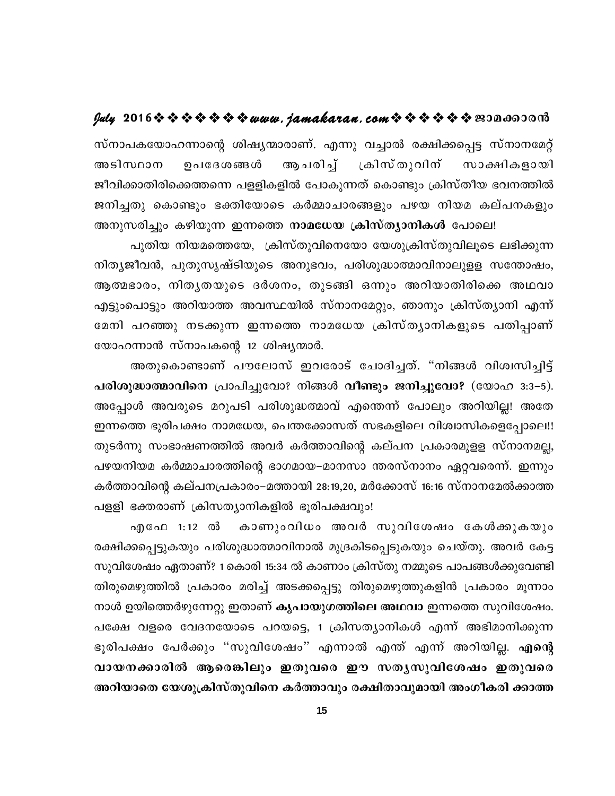# $y$ uly 2016  $\rightsquigarrow \rightsquigarrow \rightsquigarrow \rightsquigarrow \rightsquigarrow w$ uuu. jamakaran. com $\rightsquigarrow \rightsquigarrow \rightsquigarrow \rightsquigarrow \rightsquigarrow w$ 200600000

സ്നാപകയോഹന്നാന്റെ ശിഷ്യന്മാരാണ്. എന്നു വച്ചാൽ രക്ഷിക്കപ്പെട്ട സ്നാനമേറ്റ് അടിസ്ഥാന ഉപദേശങ്ങൾ ആചരിച്ച് ക്രിസ്തുവിന് സാക്ഷികളായി ജീവിക്കാതിരിക്കെത്തന്നെ പളളികളിൽ പോകുന്നത് കൊണ്ടും ക്രിസ്തീയ ഭവനത്തിൽ ജനിച്ചതു കൊണ്ടും ഭക്തിയോടെ കർമ്മാചാരങ്ങളും പഴയ നിയമ കല്പനകളും അനുസരിച്ചും കഴിയുന്ന ഇന്നത്തെ **നാമധേയ ക്രിസ്ത്യാനികൾ** പോലെ!

പുതിയ നിയമത്തെയേ, ക്രിസ്തുവിനെയോ യേശുക്രിസ്തുവിലൂടെ ലഭിക്കുന്ന നിത്യജീവൻ, പുതുസൃഷ്ടിയുടെ അനുഭവം, പരിശുദ്ധാത്മാവിനാലുളള സന്തോഷം, ആത്മഭാരം, നിതൃതയുടെ ദർശനം, തുടങ്ങി ഒന്നും അറിയാതിരിക്കെ അഥവാ എട്ടുംപൊട്ടും അറിയാത്ത അവസ്ഥയിൽ സ്നാനമേറ്റും, ഞാനും ക്രിസ്ത്യാനി എന്ന് മേനി പറഞ്ഞു നടക്കുന്ന ഇന്നത്തെ നാമധേയ ക്രിസ്ത്യാനികളുടെ പതിപ്പാണ് യോഹന്നാൻ സ്നാപകന്റെ 12 ശിഷ്യന്മാർ.

അതുകൊണ്ടാണ് പൗലോസ് ഇവരോട് ചോദിച്ചത്. "നിങ്ങൾ വിശ്വസിച്ചിട്ട് പരിശുദ്ധാത്മാവിനെ പ്രാപിച്ചുവോ? നിങ്ങൾ വീണ്ടും ജനിച്ചുവോ? (യോഹ 3:3-5). അപ്പോൾ അവരുടെ മറുപടി പരിശുദ്ധത്മാവ് എന്തെന്ന് പോലും അറിയില്ല! അതേ ഇന്നത്തെ ഭുരിപക്ഷം നാമധേയ, പെന്തക്കോസത് സഭകളിലെ വിശ്വാസികളെപ്പോലെ!! തുടർന്നു സംഭാഷണത്തിൽ അവർ കർത്താവിന്റെ കല്പന പ്രകാരമുളള സ്നാനമല്ല, പഴയനിയമ കർമ്മാചാരത്തിന്റെ ഭാഗമായ–മാനസാ ന്തരസ്നാനം ഏറ്റവരെന്ന്. ഇന്നും കർത്താവിന്റെ കല്പനപ്രകാരം–മത്തായി 28:19,20, മർക്കോസ് 16:16 സ്നാനമേൽക്കാത്ത പളളി ഭക്തരാണ് ക്രിസത്യാനികളിൽ ഭൂരിപക്ഷവും!

കാണുംവിധം അവർ സുവിശേഷം കേൾക്കുകയും എഫേ 1:12 ൽ രക്ഷിക്കപ്പെട്ടുകയും പരിശുദ്ധാത്മാവിനാൽ മുദ്രകിടപ്പെടുകയും ചെയ്തു. അവർ കേട്ട സുവിശേഷം ഏതാണ്? 1കൊരി 15:34 ൽ കാണാം ക്രിസ്തു നമ്മുടെ പാപങ്ങൾക്കുവേണ്ടി തിരുമെഴുത്തിൽ പ്രകാരം മരിച്ച് അടക്കപ്പെട്ടു തിരുമെഴുത്തുകളിൻ പ്രകാരം മൂന്നാം നാൾ ഉയിത്തെർഴുന്നേറ്റു ഇതാണ് കൃപായുഗത്തിലെ അഥവാ ഇന്നത്തെ സുവിശേഷം. പക്ഷേ വളരെ വേദനയോടെ പറയട്ടെ, 1 ക്രിസത്യാനികൾ എന്ന് അഭിമാനിക്കുന്ന ഭൂരിപക്ഷം പേർക്കും "സുവിശേഷം" എന്നാൽ എന്ത് എന്ന് അറിയില്ല. എന്റെ വായനക്കാരിൽ ആരെങ്കിലും ഇതുവരെ ഈ സതൃസുവിശേഷം ഇതുവരെ അറിയാതെ യേശുക്രിസ്തുവിനെ കർത്താവും രക്ഷിതാവുമായി അംഗീകരി ക്കാത്ത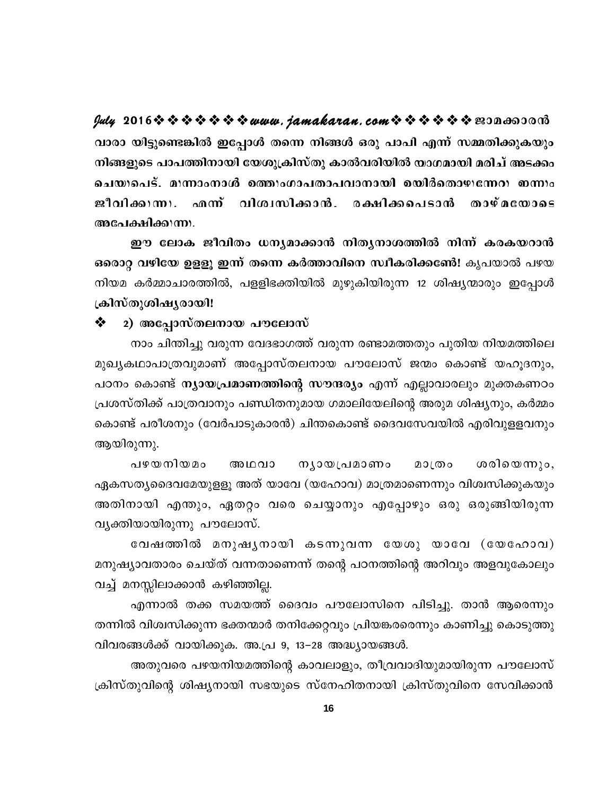**July 2016www.jamakaran.comPma¡mc³** വാരാ യിട്ടുണ്ടെങ്കിൽ ഇപ്പോൾ തന്നെ നിങ്ങൾ ഒരു പാപി എന്ന് സമ്മതിക്കുകയും നിങ്ങളുടെ പാപത്തിനായി യേശുക്രിസ്തു കാൽവരിയിൽ യാഗമായി മരിച് അടക്കം പെട്. മ<sub>ി</sub>ന്നാംനാൾ മത്ത<sub>ി</sub>ംഗാപതാപവാനായി മയിർതൊഴുന്നേറ<sub>ി</sub> ഇന്നം<br>ക്കിക്കുന്നു.<br>ക്ഷിക്കുന്നു.<br>ഈ ലോക ജീവിതം ധന്യമാക്കാൻ നിത്യനാശത്തിൽ നിന്ന് കരകയറാൻ<br>റ വഴിയേ ഉളളൂ ഇന്ന് തന്നെ കർത്താവിനെ സ്ഥീകരിക്കണേ്! കൃപയാൽ പഴയ<br>കർമ്മാചാരത്തിൽ

ഒരൊറ്റ വഴിയേ ഉളളു ഇന്ന് തന്നെ കർത്താവിനെ സ്ഥീകരിക്കണേ്ദി കൃപയാൽ പഴയ നിയമ കർമ്മാചാരത്തിൽ, പളളിഭക്തിയിൽ മുഴുകിയിരുന്ന 12 ശിഷ്യന്മാരും ഇപ്പോൾ **{InkvXpinjycmbn!**

### $\clubsuit$  2) അപ്പോസ്തലനായ പൗലോസ്

നാം ചിന്തിച്ചു വരുന്ന വേദഭാഗത്ത് വരുന്ന രണ്ടാമത്തതും പുതിയ നിയമത്തിലെ മുഖൃകഥാപാത്രവുമാണ് അപ്പോസ്തലനായ പൗലോസ് ജന്മം കൊണ്ട് യഹൂദനും, പഠനം കൊണ്ട് **ന്യായപ്രമാണത്തിന്റെ സൗന്ദര്യം** എന്ന് എല്ലാവാരലും മുക്തകണഠം പ്രശസ്തിക്ക് പാത്രവാനും പണ്ഡിതനുമായ ഗമാലിയേലിന്റെ അരുമ ശിഷ്യനും, കർമ്മം കൊണ്ട് പരീശനും (വേർപാടുകാരൻ) ചിന്തകൊണ്ട് ദൈവസേവയിൽ എരിവുളളവനും ആയിരുന്നു. ്തിക്ക് പാത്രവാനും പണ്ഡിതനുമായ ഗമാലിയേലിന്റെ അരുമ ശിഷ്യനും, കർമ്മം<br>ട് പരീശനും (വേർപാടുകാരൻ) ചിന്തകൊണ്ട് ദൈവസേവയിൽ എരിവുളളവനും<br>മുന്നു.<br>ശ്വദൈവമേയുളളൂ അത് യാവേ (യഹോവ) മാത്രമാണെന്നും വിശ്വസിക്കുകയും<br>രായി എന്താപ ഏതറം വരെ ചെയാന

ഏകസത്യദൈവമേയുളളൂ അത് യാവേ (യഹോവ) മാത്രമാണെന്നും വിശ്വസിക്കുകയും അതിനായി എന്തും, ഏതറ്റം വരെ ചെയ്യാനും എപ്പോഴും ഒരു ഒരുങ്ങിയിരുന്ന വ്യക്തിയായിരുന്നു പൗലോസ്. ാതൃദൈവമേയുളളൂ അത് യാവേ (യഹോവ) മാത്രമാണെന്നും വിശിസിക്കുകയും<br>നായി എന്തും, ഏതറ്റം വരെ ചെയ്യാനും എപ്പോഴും ഒരു ഒരുങ്ങിയിരുന്ന<br>|യായിരുന്നു പൗലോസ്.<br>വേഷത്തിൽ മനുഷൃനായി കടന്നുവന്ന യേശു യാവേ ( യേഹോവ)<br>യാവതാരം ചെയ്ത

മനുഷ്യാവതാരം ചെയ്ത് വന്നതാണെന്ന് തന്റെ പഠനത്തിന്റെ അറിവും അളവുകോലും വച്ച് മനസ്സിലാക്കാൻ കഴിഞ്ഞില്ല.

എന്നാൽ തക്ക സമയത്ത് ദൈവം പൗലോസിനെ പിടിച്ചു. താൻ ആരെന്നും തന്നിൽ വിശ്വസിക്കുന്ന ഭക്തന്മാർ തനിക്കേറ്റവും പ്രിയങ്കരതെനും കാണിച്ചു കൊടുത്തു വിവരങ്ങൾക്ക് വായിക്കുക. അ.പ്ര 9, 13−28 അദ്ധ്യായങ്ങൾ.

അതുവരെ പഴയനിയമത്തിന്റെ കാവലാളും, തീവ്രവാദിയുമായിരുന്ന പൗലോസ് ക്രിസ്തുവിന്റെ ശിഷ്യനായി സഭയുടെ സ്നേഹിതനായി ക്രിസ്തുവിനെ സേവിക്കാൻ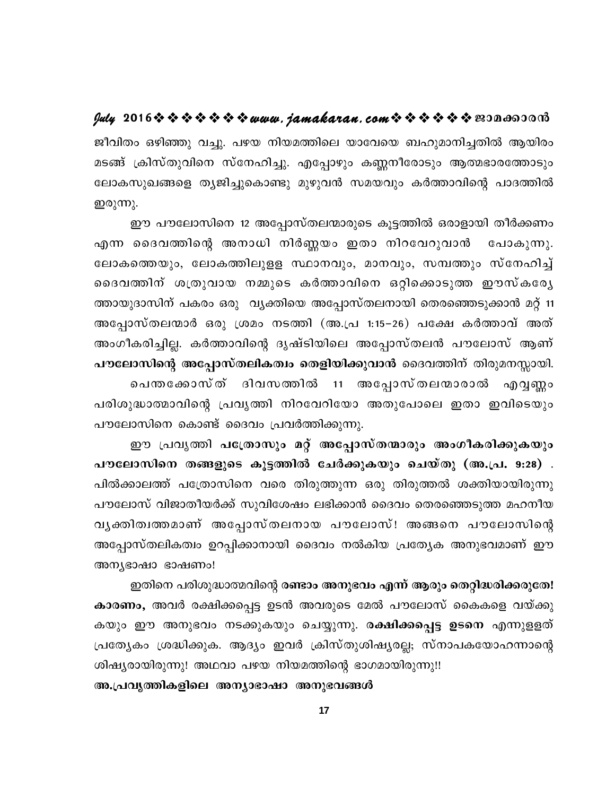ജീവിതം ഒഴിഞ്ഞു വച്ചു. പഴയ നിയമത്തിലെ യാവേയെ ബഹുമാനിച്ചതിൽ ആയിരം മടങ്ങ് ക്രിസ്തുവിനെ സ്നേഹിച്ചു. എപ്പോഴും കണ്ണനീരോടും ആത്മഭാരത്തോടും ലോകസുഖങ്ങളെ തൃജിച്ചുകൊണ്ടു മുഴുവൻ സമയവും കർത്താവിന്റെ പാദത്തിൽ ഇരുന്നു.

ഈ പൗലോസിനെ 12 അപ്പോസ്തലന്മാരുടെ കൂട്ടത്തിൽ ഒരാളായി തീർക്കണം എന്ന ദൈവത്തിന്റെ അനാധി നിർണ്ണയം ഇതാ നിറവേറുവാൻ പോകുന്നു. ലോകത്തെയും, ലോകത്തിലുളള സ്ഥാനവും, മാനവും, സമ്പത്തും സ്നേഹിച്ച് ദൈവത്തിന് ശത്രുവായ നമ്മുടെ കർത്താവിനെ ഒറ്റിക്കൊടുത്ത ഈസ്കരേൃ ത്തായുദാസിന് പകരം ഒരു `വ്യക്തിയെ അപ്പോസ്തലനായി തെരഞ്ഞെടുക്കാൻ മറ്റ് 11 അപ്പോസ്തലന്മാർ ഒരു ശ്രമം നടത്തി (അ.പ്ര 1:15–26) പക്ഷേ കർത്താവ് അത് അംഗീകരിച്ചില്ല. കർത്താവിന്റെ ദൃഷ്ടിയിലെ അപ്പോസ്തലൻ പൗലോസ് ആണ് പൗലോസിന്റെ അപ്പോസ്തലികത്വം തെളിയിക്കുവാൻ ദൈവത്തിന് തിരുമനസ്സായി. പെന്തക്കോസ്ത് ദിവസത്തിൽ 11 അപ്പോസ്തലന്മാരാൽ എവൃണ്ണം പരിശുദ്ധാത്മാവിന്റെ പ്രവൃത്തി നിറവേറിയോ അതുപോലെ ഇതാ ഇവിടെയും പൗലോസിനെ കൊണ്ട് ദൈവം പ്രവർത്തിക്കുന്നു.

ഈ പ്രവൃത്തി പത്രോസും മറ്റ് അപ്പോസ്തന്മാരും അംഗീകരിക്കുകയും പൗലോസിനെ തങ്ങളുടെ കൂട്ടത്തിൽ ചേർക്കുകയും ചെയ്തു (അ.പ്ര. 9:28) . പിൽക്കാലത്ത് പത്രോസിനെ വരെ തിരുത്തുന്ന ഒരു തിരുത്തൽ ശക്തിയായിരുന്നു പൗലോസ് വിജാതീയർക്ക് സുവിശേഷം ലഭിക്കാൻ ദൈവം തെരഞ്ഞെടുത്ത മഹനീയ വൃക്തിത്വത്തമാണ് അപ്പോസ്തലനായ പൗലോസ്! അങ്ങനെ പൗലോസിന്റെ അപ്പോസ്തലികത്വം ഉറപ്പിക്കാനായി ദൈവം നൽകിയ പ്രത്യേക അനുഭവമാണ് ഈ അന്യഭാഷാ ഭാഷണം!

ഇതിനെ പരിശുദ്ധാത്മവിന്റെ രണ്ടാം അനുഭവം എന്ന് ആരും തെറ്റിദ്ധരിക്കരുതേ! കാരണം, അവർ രക്ഷിക്കപ്പെട്ട ഉടൻ അവരുടെ മേൽ പൗലോസ് കൈകളെ വയ്ക്കു കയും ഈ അനുഭവം നടക്കുകയും ചെയ്യുന്നു. രക്ഷിക്കപ്പെട്ട ഉടനെ എന്നുളളത് പ്രത്യേകം ശ്രദ്ധിക്കുക. ആദ്യം ഇവർ ക്രിസ്തുശിഷ്യരല്ല; സ്നാപകയോഹന്നാന്റെ ശിഷ്യരായിരുന്നു! അഥവാ പഴയ നിയമത്തിന്റെ ഭാഗമായിരുന്നു!!

അ.പ്രവൃത്തികളിലെ അന്യാഭാഷാ അനുഭവങ്ങൾ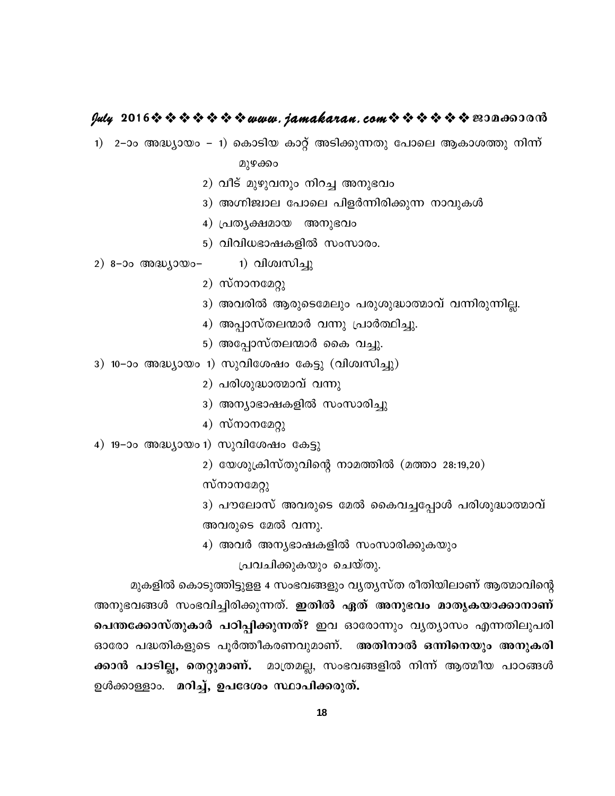### **July 2016www.jamakaran.comPma¡mc³**

1) 2–ാം അദ്ധ്യായം – 1) കൊടിയ കാറ്റ് അടിക്കുന്നതു പോലെ ആകാശത്തു നിന്ന്

മുഴക്കം

- 2) വീട് മുഴുവനും നിറച്ച അനുഭവം
- 3) അഗ്നിജ്വാല പോലെ പിളർന്നിരിക്കുന്ന നാവുകൾ
- $\left(4\right)$  പ്രത്യക്ഷമായ അനുഭവം
- 5) വിവിധഭാഷകളിൽ സംസാരം.
- 2) 8–ാം അദ്ധ്യായം–  $\qquad$  1) വിശ്വസിച്ചു
	- 2)  $\omega$ m $\omega$
	- 3) അവരിൽ ആരുടെമേലും പരുശുദ്ധാത്മാവ് വന്നിരുന്നില്ല.
	- 4) അപ്പാസ്തലന്മാർ വന്നു പ്രാർത്ഥിച്ചു.
	- 5) അപ്പോസ്തലന്മാർ കൈ വച്ചു.
- 3) 10–ാം അദ്ധ്യായം 1) സുവിശേഷം കേട്ടു (വിശ്വസിച്ചു)
	- 2) പരിശുദ്ധാത്മാവ് വന്നു
	- 3) അന്യാഭാഷകളിൽ സംസാരിച്ചു
	- $4)$  mmomeng)
- 4) 19–ാം അദ്ധ്യായം 1) സുവിശേഷം കേട്ടു
	- 2) യേശുക്രിസ്തുവിന്റെ നാമത്തിൽ (മത്താ 28:19,20)

- 4) സ്നാനമേറ്റു<br>1) സുവിശേഷം കേട്ടു<br>2) യേശുക്രിസ്തുവിന്റെ<br>സ്നാനമേറ്റു<br>3) പൗലോസ് അവരുടെ<br>അവരുടെ മേൽ വന്നു. 3) പൗലോസ് അവരുടെ മേൽ കൈവച്ചപ്പോൾ പരിശുദ്ധാത്മാവ് അവരുടെ മേൽ വന്നു.
- 4) അവർ അന്യഭാഷകളിൽ സംസാരിക്കുകയും

പ്രവചിക്കുകയും ചെയ്തു.

മുകളിൽ കൊടുത്തിട്ടുളള 4 സംഭവങ്ങളും വൃതൃസ്ത രീതിയിലാണ് ആത്മാവിന്റെ അനുഭവങ്ങൾ സംഭവിച്ചിരിക്കുന്നത്. **ഇതിൽ ഏത് അനുഭവം മാതൃകയാക്കാനാണ്** ്രിവചിക്കുകയും ചെയ്തു.<br>്രൂകളിൽ കൊടുത്തിട്ടുളള 4 സംഭവങ്ങളും വൃതൃസ്ത രീതിയിലാണ് ആത്മാവിന്റെ<br>**പെന്തക്കോസ്തുകാർ പഠിപ്പിക്കുന്നത്? ഇവ** ഓരോന്നും വൃത്യാസം എന്നതിലുപരി<br>ഓരോ പദ്ധതികളുടെ പൂർത്തീകരണവുമാണ്. അതി<mark>നാൽ ഒന്നിനെയു</mark> മുകളിൽ കൊടുത്തിട്ടുളള 4 സംഭവങ്ങളും വൃത്യസ്ത രീതിയിലാണ് ആത്മാവിന്റെ<br>അനുഭവങ്ങൾ സംഭവിച്ചിരിക്കുന്നത്. **ഇതിൽ ഏത് അനുഭവം മാതൃകയാക്കാനാണ്**<br>ഓരോ പദ്ധതികളുടെ പൂർത്തീകരണവുമാണ്. അതിനാൽ ഒന്നിനെയും അനുകരി<br>ക്കാൻ പാടില്ല, അനുഭവങ്ങൾ സംഭവിച്ചിരിക്കുന്നത്. **ഇതിൽ ഏത് അനുഭവം മാതൃകയാക്കാനാണ്**<br>പെന്തക്കോസ്തുകാർ പഠിപ്പിക്കുന്നത്? ഇവ ഓരോന്നും വ്യത്യാസം എന്നതിലുപരി<br>ഓരോ പദ്ധതികളുടെ പൂർത്തീകരണവുമാണ്. അതിനാൽ ഒന്നിനെയും അനുകരി<br>ക്കാൻ പാടില്ല, തെറ്റുമാണ്. <u>ഉ</u>ൾക്കാളളാം. **മറിച്ച്, ഉപദേശം സ്ഥാപിക്കരുത്.**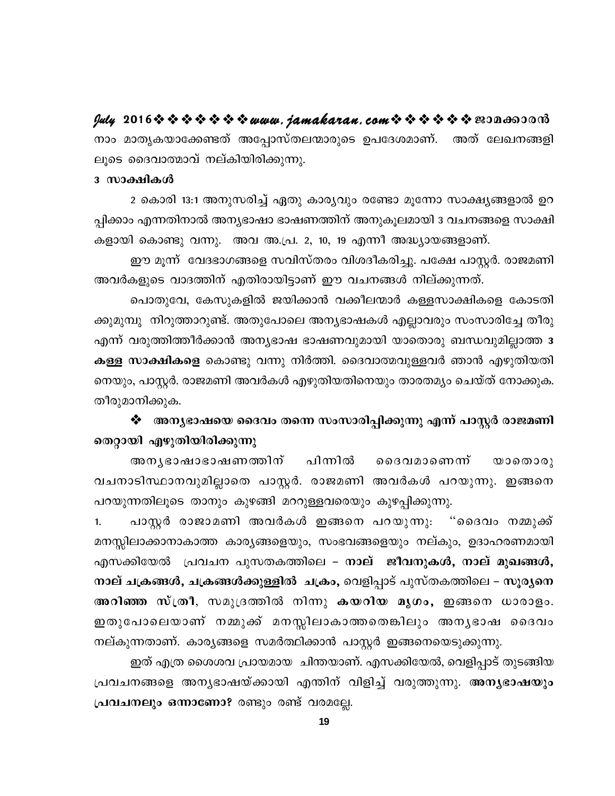നാം മാതൃകയാക്കേണ്ടത് അപ്പോസ്തലന്മാരുടെ ഉപദേശമാണ്. അത് ലേഖനങ്ങളി ലൂടെ ദൈവാത്മാവ് നല്കിയിരിക്കുന്നു.

### 3 സാക്ഷികൾ

2 കൊരി 13:1 അനുസരിച്ച് ഏതു കാര്യവും രണ്ടോ മൂന്നോ സാക്ഷ്യങ്ങളാൽ ഉറ പ്പിക്കാം എന്നതിനാൽ അന്യഭാഷാ ഭാഷണത്തിന് അനുകൂലമായി 3 വചനങ്ങളെ സാക്ഷി കളായി കൊണ്ടു വന്നു. അവ അ.പ്ര. 2, 10, 19 എന്നീ അദ്ധ്യായങ്ങളാണ്.

ഈ മൂന്ന് വേദഭാഗങ്ങളെ സവിസ്തരം വിശദീകരിച്ചു. പക്ഷേ പാസ്റ്റർ. രാജമണി അവർകളുടെ വാദത്തിന് എതിരായിട്ടാണ് ഈ വചനങ്ങൾ നില്ക്കുന്നത്.

പൊതുവേ, കേസുകളിൽ ജയിക്കാൻ വക്കീലന്മാർ കള്ളസാക്ഷികളെ കോടതി ക്കുമുമ്പു നിറുത്താറുണ്ട്. അതുപോലെ അനൃഭാഷകൾ എല്ലാവരും സംസാരിച്ചേ തീരു എന്ന് വരുത്തിത്തീർക്കാൻ അന്യഭാഷ ഭാഷണവുമായി യാതൊരു ബന്ധവുമില്ലാത്ത 3 **കള്ള സാക്ഷികളെ** കൊണ്ടു വന്നു നിർത്തി. ദൈവാത്മവുള്ളവർ ഞാൻ എഴുതിയതി നെയും, പാസ്റ്റർ. രാജമണി അവർകൾ എഴുതിയതിനെയും താരതമ്യം ചെയ്ത് നോക്കുക. തീരുമാനിക്കുക.

❖ അനൃഭാഷയെ ദൈവം തന്നെ സംസാരിപ്പിക്കുന്നു എന്ന് പാസ്റ്റർ രാജമണി തെറ്റായി എഴുതിയിരിക്കുന്നു

അനൃഭാഷാഭാഷണത്തിന് പിന്നിൽ രൈവമാണെന്ന്  $\omega$ on  $\omega$ on വചനാടിസ്ഥാനവുമില്ലാതെ പാസ്റ്റർ. രാജമണി അവർകൾ പറയുന്നു. ഇങ്ങനെ പറയുന്നതിലൂടെ താനും കുഴങ്ങി മററുള്ളവരെയും കുഴപ്പിക്കുന്നു.

പാസ്റ്റർ രാജാമണി അവർകൾ ഇങ്ങനെ പറയുന്നു. "ദൈവം നമ്മുക്ക് 1. മനസ്സിലാക്കാനാകാത്ത കാര്യങ്ങളെയും, സംഭവങ്ങളെയും നല്കും, ഉദാഹരണമായി എസക്കിയേൽ പ്രവചന പുസതകത്തിലെ – നാല് ജീവനുകൾ, നാല് മുഖങ്ങൾ, നാല് ചക്രങ്ങൾ, ചക്രങ്ങൾക്കുള്ളിൽ ചക്രം, വെളിപ്പാട് പുസ്തകത്തിലെ – സൂര്യനെ അറിഞ്ഞ സ്ത്രീ, സമുദ്രത്തിൽ നിന്നു കയറിയ മൃഗം, ഇങ്ങനെ ധാരാളം. ഇതുപോലെയാണ് നമ്മുക്ക് മനസ്സിലാകാത്തതെങ്കിലും അനൃഭാഷ ദൈവം നല്കുന്നതാണ്. കാര്യങ്ങളെ സമർത്ഥിക്കാൻ പാസ്റ്റർ ഇങ്ങനെയെടുക്കുന്നു.

ഇത് എത്ര ശൈശവ പ്രായമായ ചിന്തയാണ്. എസക്കിയേൽ, വെളിപ്പാട് തുടങ്ങിയ പ്രവചനങ്ങളെ അനൃഭാഷയ്ക്കായി എന്തിന് വിളിച്ച് വരുത്തുന്നു. അനൃഭാഷയും പ്രവചനലും ഒന്നാണോ? രണ്ടും രണ്ട് വരമല്ലേ.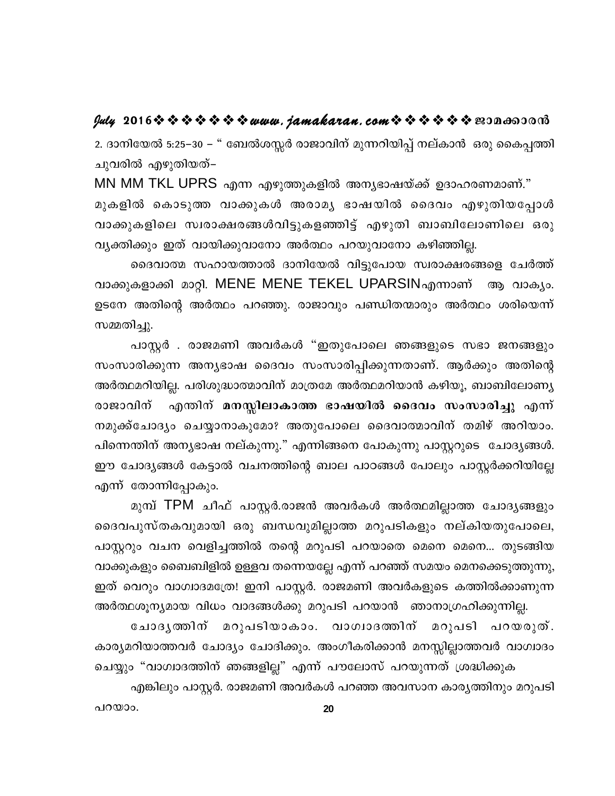2. ദാനിയേൽ 5:25–30 – " ബേൽശസ്സർ രാജാവിന് മുന്നറിയിപ്പ് നല്കാൻ ഒരു കൈപ്പത്തി ചുവരിൽ എഴുതിയത്–

MN MM TKL UPRS എന്ന എഴുത്തുകളിൽ അന്യഭാഷയ്ക്ക് ഉദാഹരണമാണ്." മുകളിൽ കൊടുത്ത വാക്കുകൾ അരാമൃ ഭാഷയിൽ ദൈവം എഴുതിയപ്പോൾ വാക്കുകളിലെ സ്വരാക്ഷരങ്ങൾവിട്ടുകളഞ്ഞിട്ട് എഴുതി ബാബിലോണിലെ ഒരു വ്യക്തിക്കും ഇത് വായിക്കുവാനോ അർത്ഥം പറയുവാനോ കഴിഞ്ഞില്ല.

ദൈവാത്മ സഹായത്താൽ ദാനിയേൽ വിട്ടുപോയ സ്വരാക്ഷരങ്ങളെ ചേർത്ത് വാക്കുകളാക്കി മാറ്റി. MENE MENE TEKEL UPARSINഎന്നാണ് ആ വാക്യം. ഉടനേ അതിന്റെ അർത്ഥം പറഞ്ഞു. രാജാവും പണ്ഡിതന്മാരും അർത്ഥം ശരിയെന്ന് സമ്മതിച്ചു.

പാസ്റ്റർ . രാജമണി അവർകൾ "ഇതുപോലെ ഞങ്ങളുടെ സഭാ ജനങ്ങളും സംസാരിക്കുന്ന അന്യഭാഷ ദൈവം സംസാരിപ്പിക്കുന്നതാണ്. ആർക്കും അതിന്റെ അർത്ഥമറിയില്ല. പരിശുദ്ധാത്മാവിന് മാത്രമേ അർത്ഥമറിയാൻ കഴിയൂ, ബാബിലോണ്യ എന്തിന് മനസ്സിലാകാത്ത ഭാഷയിൽ ദൈവം സംസാരിച്ചു എന്ന് രാജാവിന് നമുക്ക്ചോദ്യം ചെയ്യാനാകുമോ? അതുപോലെ ദൈവാത്മാവിന് തമിഴ് അറിയാം. പിന്നെന്തിന് അന്യഭാഷ നല്കുന്നു." എന്നിങ്ങനെ പോകുന്നു പാസ്റ്ററുടെ ചോദ്യങ്ങൾ. ഈ ചോദ്യങ്ങൾ കേട്ടാൽ വചനത്തിന്റെ ബാല പാഠങ്ങൾ പോലും പാസ്റ്റർക്കറിയില്ലേ എന്ന് തോന്നിപ്പോകും.

മുമ്പ് TPM ചീഫ് പാസ്റ്റർ.രാജൻ അവർകൾ അർത്ഥമില്ലാത്ത ചോദൃങ്ങളും ദൈവപുസ്തകവുമായി ഒരു ബന്ധവുമില്ലാത്ത മറുപടികളും നല്കിയതുപോലെ, പാസ്റ്ററും വചന വെളിച്ചത്തിൽ തന്റെ മറുപടി പറയാതെ മെനെ മെനെ... തുടങ്ങിയ വാക്കുകളും ബൈബിളിൽ ഉള്ളവ തന്നെയല്ലേ എന്ന് പറഞ്ഞ് സമയം മെനക്കെടുത്തുന്നു, ഇത് വെറും വാഗ്വാദമത്രേ! ഇനി പാസ്റ്റർ. രാജമണി അവർകളുടെ കത്തിൽക്കാണുന്ന അർത്ഥശൂന്യമായ വിധം വാദങ്ങൾക്കു മറുപടി പറയാൻ ഞാനാഗ്രഹിക്കുന്നില്ല.

ചോദൃത്തിന് മറുപടിയാകാം. വാഗ്വാദത്തിന് മറുപടി പറയരുത്. കാര്യമറിയാത്തവർ ചോദ്യം ചോദിക്കും. അംഗീകരിക്കാൻ മനസ്സില്ലാത്തവർ വാഗ്വാദം ചെയ്യും "വാഗ്വാദത്തിന് ഞങ്ങളില്ല" എന്ന് പൗലോസ് പറയുന്നത് ശ്രദ്ധിക്കുക

എങ്കിലും പാസ്റ്റർ. രാജമണി അവർകൾ പറഞ്ഞ അവസാന കാര്യത്തിനും മറുപടി

പറയാം.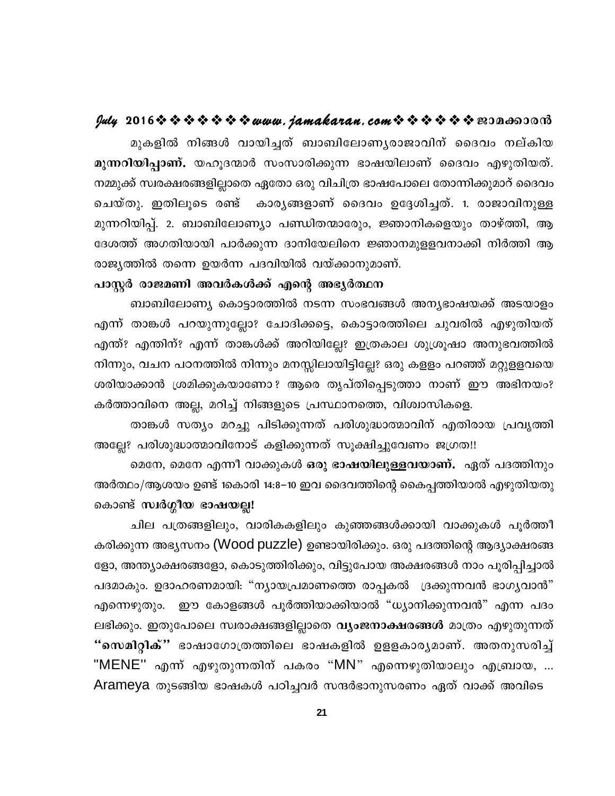മുകളിൽ നിങ്ങൾ വായിച്ചത് ബാബിലോണൃരാജാവിന് ദൈവം നല്കിയ മുന്നറിയിപ്പാണ്. യഹൂദന്മാർ സംസാരിക്കുന്ന ഭാഷയിലാണ് ദൈവം എഴുതിയത്. നമ്മുക്ക് സ്വരക്ഷരങ്ങളില്ലാതെ ഏതോ ഒരു വിചിത്ര ഭാഷപോലെ തോന്നിക്കുമാറ് ദൈവം ചെയ്തു. ഇതിലൂടെ രണ്ട് കാരൃങ്ങളാണ് ദൈവം ഉദ്ദേശിച്ചത്. 1. രാജാവിനുള്ള മുന്നറിയിപ്പ്. 2. ബാബിലോണ്യാ പണ്ഡിതന്മാരുേം, ജ്ഞാനികളെയും താഴ്ത്തി, ആ ദേശത്ത് അഗതിയായി പാർക്കുന്ന ദാനിയേലിനെ ജ്ഞാനമുളളവനാക്കി നിർത്തി ആ രാജ്യത്തിൽ തന്നെ ഉയർന്ന പദവിയിൽ വയ്ക്കാനുമാണ്.

### പാസ്റ്റർ രാജമണി അവർകൾക്ക് എന്റെ അഭ്യർത്ഥന

ബാബിലോണ്യ കൊട്ടാരത്തിൽ നടന്ന സംഭവങ്ങൾ അന്യഭാഷയക്ക് അടയാളം എന്ന് താങ്കൾ പറയുന്നുല്ലോ? ചോദിക്കട്ടെ, കൊട്ടാരത്തിലെ ചുവരിൽ എഴുതിയത് എന്ത്? എന്തിന്? എന്ന് താങ്കൾക്ക് അറിയില്ലേ? ഇത്രകാല ശുശ്രൂഷാ അനുഭവത്തിൽ നിന്നും, വചന പഠനത്തിൽ നിന്നും മനസ്സിലായിട്ടില്ലേ? ഒരു കളളം പറഞ്ഞ് മറ്റുളളവയെ ശരിയാക്കാൻ ശ്രമിക്കുകയാണോ ? ആരെ തൃപ്തിപ്പെടുത്താ നാണ് ഈ അഭിനയം? കർത്താവിനെ അല്ല, മറിച്ച് നിങ്ങളുടെ പ്രസ്ഥാനത്തെ, വിശ്വാസികളെ.

താങ്കൾ സത്യം മറച്ചു പിടിക്കുന്നത് പരിശുദ്ധാത്മാവിന് എതിരായ പ്രവൃത്തി അല്ലേ? പരിശുദ്ധാത്മാവിനോട് കളിക്കുന്നത് സൂക്ഷിച്ചുവേണം ജഗ്രത!!

മെനേ, മെനേ എന്നീ വാക്കുകൾ ഒരു ഭാഷയിലുള്ളവയാണ്. ഏത് പദത്തിനും അർത്ഥം/ആശയം ഉണ്ട് 1കൊരി 14:8–10 ഇവ ദൈവത്തിന്റെ കൈപ്പത്തിയാൽ എഴുതിയതു കൊണ്ട് സ്ഥർഗ്ഗീയ ഭാഷയല്ല!

ചില പത്രങ്ങളിലും, വാരികകളിലും കുഞ്ഞങ്ങൾക്കായി വാക്കുകൾ പൂർത്തീ കരിക്കുന്ന അഭ്യസനം (Wood puzzle) ഉണ്ടായിരിക്കും. ഒരു പദത്തിന്റെ ആദ്യാക്ഷരങ്ങ ളോ, അന്ത്യാക്ഷരങ്ങളോ, കൊടുത്തിരിക്കും, വിട്ടുപോയ അക്ഷരങ്ങൾ നാം പൂരിപ്പിച്ചാൽ പദമാകും. ഉദാഹരണമായി: "ന്യായപ്രമാണത്തെ രാപ്പകൽ ദ്രക്കുന്നവൻ ഭാഗ്യവാൻ" എന്നെഴുതും. ഈ കോളങ്ങൾ പൂർത്തിയാക്കിയാൽ "ധ്യാനിക്കുന്നവൻ" എന്ന പദം ലഭിക്കും. ഇതുപോലെ സ്വരാക്ഷങ്ങളില്ലാതെ **വ്യംജനാക്ഷരങ്ങൾ** മാത്രം എഴുതുന്നത് "സെമിറ്റിക്" ഭാഷാഗോത്രത്തിലെ ഭാഷകളിൽ ഉളളകാരൃമാണ്. അതനുസരിച്ച് "MENE'' എന്ന് എഴുതുന്നതിന് പകരം "MN" എന്നെഴുതിയാലും എബ്രായ, ... Arameya തുടങ്ങിയ ഭാഷകൾ പഠിച്ചവർ സന്ദർഭാനുസരണം ഏത് വാക്ക് അവിടെ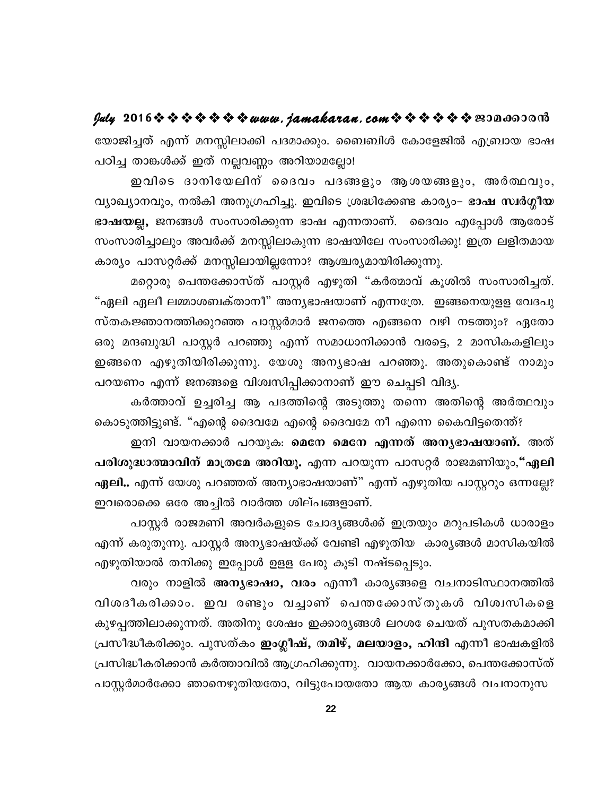യോജിച്ചത് എന്ന് മനസ്സിലാക്കി പദമാക്കും. ബൈബിൾ കോളേജിൽ എബ്രായ ഭാഷ പഠിച്ച താങ്കൾക്ക് ഇത് നല്ലവണ്ണം അറിയാമല്ലോ!

ഇവിടെ ദാനിയേലിന് ദൈവം പദങ്ങളും ആശയങ്ങളും, അർത്ഥവും, വ്യാഖ്യാനവും, നൽകി അനുഗ്രഹിച്ചു. ഇവിടെ ശ്രദ്ധിക്കേണ്ട കാര്യം– ഭാഷ സ്ഥർഗ്ഗീയ ഭാഷയല്ല, ജനങ്ങൾ സംസാരിക്കുന്ന ഭാഷ എന്നതാണ്. ദൈവം എപ്പോൾ ആരോട് സംസാരിച്ചാലും അവർക്ക് മനസ്സിലാകുന്ന ഭാഷയിലേ സംസാരിക്കു! ഇത്ര ലളിതമായ കാര്യം പാസറ്റർക്ക് മനസ്സിലായില്ലന്നോ? ആശ്ചര്യമായിരിക്കുന്നു.

മറ്റൊരു പെന്തക്കോസ്ത് പാസ്റ്റർ എഴുതി "കർത്മാവ് കൂശിൽ സംസാരിച്ചത്. "ഏലി ഏലീ ലമ്മാശബക്താനീ" അനൃഭാഷയാണ് എന്നത്രേ. ഇങ്ങനെയുളള വേദപു സ്തകജ്ഞാനത്തിക്കുറഞ്ഞ പാസ്റ്റർമാർ ജനത്തെ എങ്ങനെ വഴി നടത്തും? ഏതോ ഒരു മന്ദബുദ്ധി പാസ്റ്റർ പറഞ്ഞു എന്ന് സമാധാനിക്കാൻ വരട്ടെ, 2 മാസികകളിലും ഇങ്ങനെ എഴുതിയിരിക്കുന്നു. യേശു അന്യഭാഷ പറഞ്ഞു. അതുകൊണ്ട് നാമും പറയണം എന്ന് ജനങ്ങളെ വിശ്വസിപ്പിക്കാനാണ് ഈ ചെപ്പടി വിദ്യ.

കർത്താവ് ഉച്ചരിച്ച ആ പദത്തിന്റെ അടുത്തു തന്നെ അതിന്റെ അർത്ഥവും കൊടുത്തിട്ടുണ്ട്. "എന്റെ ദൈവമേ എന്റെ ദൈവമേ നീ എന്നെ കൈവിട്ടതെന്ത്?

ഇനി വായനക്കാർ പറയുക. മെനേ മെനേ എന്നത് അനൃഭാഷയാണ്. അത് പരിശുദ്ധാത്മാവിന് മാത്രമേ അറിയൂ. എന്ന പറയുന്ന പാസറ്റർ രാജമണിയും,"ഏലി ഏലി.. എന്ന് യേശു പറഞ്ഞത് അന്യാഭാഷയാണ്" എന്ന് എഴുതിയ പാസ്റ്ററും ഒന്നല്ലേ? ഇവരൊക്കെ ഒരേ അച്ചിൽ വാർത്ത ശില്പങ്ങളാണ്.

പാസ്റ്റർ രാജമണി അവർകളുടെ ചോദ്യങ്ങൾക്ക് ഇത്രയും മറുപടികൾ ധാരാളം എന്ന് കരുതുന്നു. പാസ്റ്റർ അന്യഭാഷയ്ക്ക് വേണ്ടി എഴുതിയ കാര്യങ്ങൾ മാസികയിൽ എഴുതിയാൽ തനിക്കു ഇപ്പോൾ ഉളള പേരു കൂടി നഷ്ടപ്പെടും.

വരും നാളിൽ **അന്യഭാഷാ, വരം** എന്നീ കാര്യങ്ങളെ വചനാടിസ്ഥാനത്തിൽ വിശദീകരിക്കാം. ഇവ രണ്ടും വച്ചാണ് പെന്തക്കോസ്തുകൾ വിശ്വസികളെ കുഴപ്പത്തിലാക്കുന്നത്. അതിനു ശേഷം ഇക്കാര്യങ്ങൾ ലറശ േചെയത് പുസതകമാക്കി പ്രസീദ്ധീകരിക്കും. പുസത്കം <mark>ഇംഗ്ലീഷ്, തമിഴ്, മലയാളം, ഹിന്ദി</mark> എന്നീ ഭാഷകളിൽ പ്രസിദ്ധീകരിക്കാൻ കർത്താവിൽ ആഗ്രഹിക്കുന്നു. വായനക്കാർക്കോ, പെന്തക്കോസ്ത് പാസ്റ്റർമാർക്കോ ഞാനെഴുതിയതോ, വിട്ടുപോയതോ ആയ കാരൃങ്ങൾ വചനാനുസ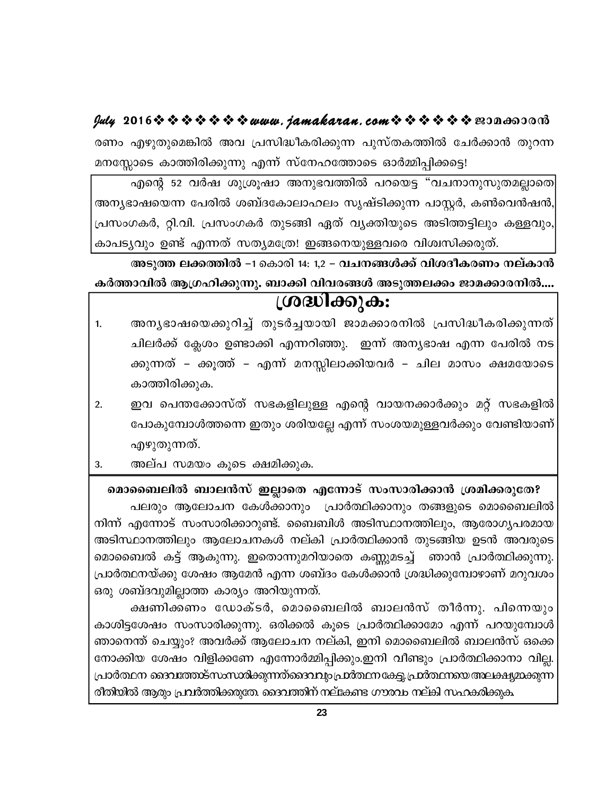രണം എഴുതുമെങ്കിൽ അവ പ്രസിദ്ധീകരിക്കുന്ന പുസ്തകത്തിൽ ചേർക്കാൻ തുറന്ന മനസ്സോടെ കാത്തിരിക്കുന്നു എന്ന് സ്നേഹത്തോടെ ഓർമ്മിപ്പിക്കട്ടെ!

എന്റെ 52 വർഷ ശുശ്രൂഷാ അനുഭവത്തിൽ പറയെട്ട "വചനാനുസുതമല്ലാതെ| അന്യഭാഷയെന്ന പേരിൽ ശബ്ദകോലാഹലം സൃഷ്ടിക്കുന്ന പാസ്റ്റർ, കൺവെൻഷൻ, പ്രസംഗകർ, റ്റി.വി. പ്രസംഗകർ തുടങ്ങി ഏത് വ്യക്തിയുടെ അടിത്തട്ടിലും കള്ളവും, കാപട്യവും ഉണ്ട് എന്നത് സത്യമത്രേ! ഇങ്ങനെയുള്ളവരെ വിശ്വസിക്കരുത്.

അടുത്ത ലക്കത്തിൽ −1 കൊരി 14: 1,2 − വചനങ്ങൾക്ക് വിശദീകരണം നല്കാൻ

കർത്താവിൽ ആഗ്രഹിക്കുന്നു. ബാക്കി വിവരങ്ങൾ അടുത്തലക്കം ജാമക്കാരനിൽ.... ശ്രദ്ധിക്കുക:

- അനൃഭാഷയെക്കുറിച്ച് തുടർച്ചയായി ജാമക്കാരനിൽ പ്രസിദ്ധീകരിക്കുന്നത്  $1.$ ചിലർക്ക് ക്ലേശം ഉണ്ടാക്കി എന്നറിഞ്ഞു. ഇന്ന് അന്യഭാഷ എന്ന പേരിൽ നട ക്കുന്നത് – ക്കൂത്ത് – എന്ന് മനസ്സിലാക്കിയവർ – ചില മാസം ക്ഷമയോടെ കാത്തിരിക്കുക.
- ഇവ പെന്തക്കോസ്ത് സഭകളിലുള്ള എന്റെ വായനക്കാർക്കും മറ്റ് സഭകളിൽ  $2.$ പോകുമ്പോൾത്തന്നെ ഇതും ശരിയല്ലേ എന്ന് സംശയമുള്ളവർക്കും വേണ്ടിയാണ് എഴുതുന്നത്.
- അല്പ സമയം കൂടെ ക്ഷമിക്കുക. 3.

മൊബൈലിൽ ബാലൻസ് ഇല്ലാതെ എന്നോട് സംസാരിക്കാൻ ശ്രമിക്കരുതേ?

പലരും ആലോചന കേൾക്കാനും പ്രാർത്ഥിക്കാനും തങ്ങളുടെ മൊബൈലിൽ നിന്ന് എന്നോട് സംസാരിക്കാറുണ്ട്. ബൈബിൾ അടിസ്ഥാനത്തിലും, ആരോഗൃപരമായ അടിസ്ഥാനത്തിലും ആലോചനകൾ നല്കി പ്രാർത്ഥിക്കാൻ തുടങ്ങിയ ഉടൻ അവരുടെ മൊബൈൽ കട്ട് ആകുന്നു. ഇതൊന്നുമറിയാതെ കണ്ണുമടച്ച് ഞാൻ പ്രാർത്ഥിക്കുന്നു. പ്രാർത്ഥനയ്ക്കു ശേഷം ആമേൻ എന്ന ശബ്ദം കേൾക്കാൻ ശ്രദ്ധിക്കുമ്പോഴാണ് മറുവശം ഒരു ശബ്ദവുമില്ലാത്ത കാര്യം അറിയുന്നത്.

ക്ഷണിക്കണം ഡോക്ടർ, മൊബൈലിൽ ബാലൻസ് തീർന്നു. പിന്നെയും കാശിട്ടശേഷം സംസാരിക്കുന്നു. ഒരിക്കൽ കൂടെ പ്രാർത്ഥിക്കാമോ എന്ന് പറയുമ്പോൾ ഞാനെന്ത് ചെയ്യും? അവർക്ക് ആലോചന നല്കി, ഇനി മൊബൈലിൽ ബാലൻസ് ഒക്കെ നോക്കിയ ശേഷം വിളിക്കണേ എന്നോർമ്മിപ്പിക്കും.ഇനി വീണ്ടും പ്രാർത്ഥിക്കാനാ വില്ല. പ്രാർത്ഥന ദൈവത്തോട്സംസാരിക്കുന്നത്ഒെദവവും പ്രാർത്ഥന കേട്ടു പ്രാർത്ഥനയെ അലക്ഷ്യമാക്കുന്ന രീതിയിൽ ആരും പ്രവർത്തിക്കരുതേ. ദൈവത്തിന് നല്കേണ്ട ഗൗരവം നല്കി സഹകരിക്കുക.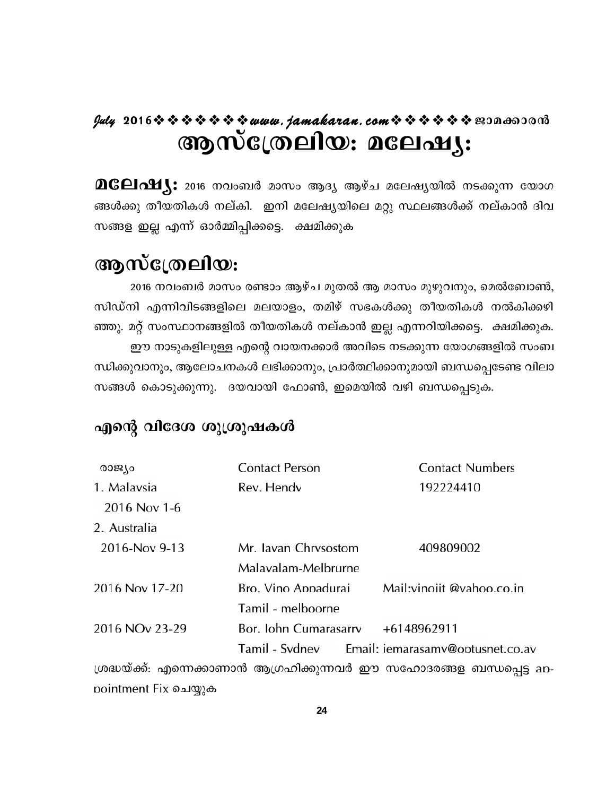# $y$ uly 2016  $\rightsquigarrow \rightsquigarrow \rightsquigarrow \rightsquigarrow \rightsquigarrow w$ uuu. jamakaran. com $\rightsquigarrow \rightsquigarrow \rightsquigarrow \rightsquigarrow \rightsquigarrow \rightsquigarrow \text{exp}$ ആസ്ത്രേലിയ: മലേഷ്യ:

 $\mathbf{D}\mathbf{G}\mathbf{C}\mathbf{I}\mathbf{\Lambda}\mathbf{M}$ ു: 2016 നവംബർ മാസം ആദ്യ ആഴ്ച മലേഷ്യയിൽ നടക്കുന്ന യോഗ ങ്ങൾക്കു തീയതികൾ നല്കി. ഇനി മലേഷ്യയിലെ മറ്റു സ്ഥലങ്ങൾക്ക് നല്കാൻ ദിവ സങ്ങള ഇല്ല എന്ന് ഓർമ്മിപ്പിക്കട്ടെ. ക്ഷമിക്കുക

# ആസ്ത്രേലിയ:

2016 നവംബർ മാസം രണ്ടാം ആഴ്ച മുതൽ ആ മാസം മുഴുവനും, മെൽബോൺ, സിഡ്നി എന്നിവിടങ്ങളിലെ മലയാളം, തമിഴ് സഭകൾക്കു തീയതികൾ നൽകിക്കഴി ഞ്ഞു. മറ്റ് സംസ്ഥാനങ്ങളിൽ തീയതികൾ നല്കാൻ ഇല്ല എന്നറിയിക്കട്ടെ. ക്ഷമിക്കുക. ഈ നാടുകളിലുള്ള എന്റെ വായനക്കാർ അവിടെ നടക്കുന്ന യോഗങ്ങളിൽ സംബ ന്ധിക്കുവാനും, ആലോചനകൾ ലഭിക്കാനും, പ്രാർത്ഥിക്കാനുമായി ബന്ധപ്പെടേണ്ട വിലാ സങ്ങൾ കൊടുക്കുന്നു. ദയവായി ഫോൺ, ഇമെയിൽ വഴി ബന്ധപ്പെടുക.

# എന്റെ വിദേശ ശുശ്രുഷകൾ

| രാജ്യം                     | <b>Contact Person</b> | <b>Contact Numbers</b>           |
|----------------------------|-----------------------|----------------------------------|
| 1. Malavsia                | Rev. Hendy            | 192224410                        |
| 2016 Nov 1-6               |                       |                                  |
| 2. Australia               |                       |                                  |
| 2016-Nov 9-13              | Mr. Javan Chrysostom  | 409809002                        |
|                            | Malavalam-Melbrurne   |                                  |
| 2016 Nov 17-20             | Bro. Vino Appadurai   | Mail: vinoiit @vahoo.co.in       |
|                            | Tamil - melboorne     |                                  |
| 2016 NO <sub>v</sub> 23-29 | Bor. John Cumarasarry | +6148962911                      |
|                            | Tamil - Svdnev        | Email: iemarasamv@optusnet.co.av |

ശ്രദ്ധയ്ക്ക്: എന്നെക്കാണാൻ ആഗ്രഹിക്കുന്നവർ ഈ സഹോദരങ്ങള ബന്ധപ്പെട്ട appointment Fix ചെയ്യുക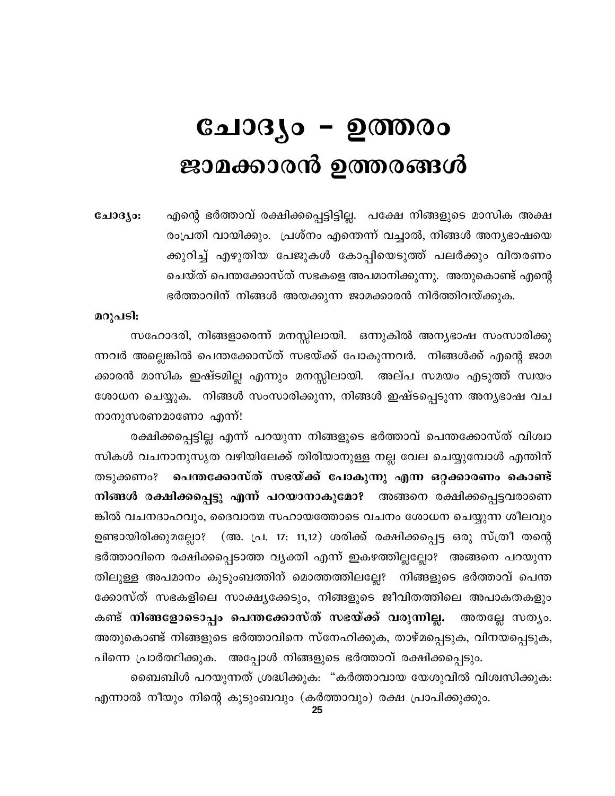# ചോദൃം – ഉത്തരം ജാമക്കാരൻ ഉത്തരങ്ങൾ

എന്റെ ഭർത്താവ് രക്ഷിക്കപ്പെട്ടിട്ടില്ല. പക്ഷേ നിങ്ങളുടെ മാസിക അക്ഷ ചോദ്യം: രംപ്രതി വായിക്കും. പ്രശ്നം എന്തെന്ന് വച്ചാൽ, നിങ്ങൾ അന്യഭാഷയെ ക്കുറിച്ച് എഴുതിയ പേജുകൾ കോപ്പിയെടുത്ത് പലർക്കും വിതരണം ചെയ്ത് പെന്തക്കോസ്ത് സഭകളെ അപമാനിക്കുന്നു. അതുകൊണ്ട് എന്റെ ഭർത്താവിന് നിങ്ങൾ അയക്കുന്ന ജാമക്കാരൻ നിർത്തിവയ്ക്കുക.

### മറുപടി:

സഹോദരി, നിങ്ങളാരെന്ന് മനസ്സിലായി. ഒന്നുകിൽ അന്യഭാഷ സംസാരിക്കു ന്നവർ അല്ലെങ്കിൽ പെന്തക്കോസ്ത് സഭയ്ക്ക് പോകുന്നവർ. നിങ്ങൾക്ക് എന്റെ ജാമ ക്കാരൻ മാസിക ഇഷ്ടമില്ല എന്നും മനസ്സിലായി. അല്പ സമയം എടുത്ത് സ്വയം ശോധന ചെയ്യുക. നിങ്ങൾ സംസാരിക്കുന്ന, നിങ്ങൾ ഇഷ്ടപ്പെടുന്ന അന്യഭാഷ വച നാനുസരണമാണോ എന്ന്!

രക്ഷിക്കപ്പെട്ടില്ല എന്ന് പറയുന്ന നിങ്ങളുടെ ഭർത്താവ് പെന്തക്കോസ്ത് വിശ്വാ സികൾ വചനാനുസൃത വഴിയിലേക്ക് തിരിയാനുള്ള നല്ല വേല ചെയ്യുമ്പോൾ എന്തിന് തടുക്കണം? പെന്തക്കോസ്ത് സഭയ്ക്ക് പോകുന്നു എന്ന ഒറ്റക്കാരണം കൊണ്ട് നിങ്ങൾ രക്ഷിക്കപ്പെട്ടു എന്ന് പറയാനാകുമോ? അങ്ങനെ രക്ഷിക്കപ്പെട്ടവരാണെ ങ്കിൽ വചനദാഹവും, ദൈവാത്മ സഹായത്തോടെ വചനം ശോധന ചെയ്യുന്ന ശീലവും ഉണ്ടായിരിക്കുമല്ലോ? (അ. പ്ര. 17: 11,12) ശരിക്ക് രക്ഷിക്കപ്പെട്ട ഒരു സ്ത്രീ തന്റെ ഭർത്താവിനെ രക്ഷിക്കപ്പെടാത്ത വൃക്തി എന്ന് ഇകഴത്തില്ലല്ലോ? അങ്ങനെ പറയുന്ന തിലുള്ള അപമാനം കുടുംബത്തിന് മൊത്തത്തിലല്ലേ? നിങ്ങളുടെ ഭർത്താവ് പെന്ത ക്കോസ്ത് സഭകളിലെ സാക്ഷ്യക്കേടും, നിങ്ങളുടെ ജീവിതത്തിലെ അപാകതകളും കണ്ട് നിങ്ങളോടൊപ്പം പെന്തക്കോസ്ത് സഭയ്ക്ക് വരുന്നില്ല. അതല്ലേ സതൃം. അതുകൊണ്ട് നിങ്ങളുടെ ഭർത്താവിനെ സ്നേഹിക്കുക, താഴ്മപ്പെടുക, വിനയപ്പെടുക, പിന്നെ പ്രാർത്ഥിക്കുക. അപ്പോൾ നിങ്ങളുടെ ഭർത്താവ് രക്ഷിക്കപ്പെടും.

ബൈബിൾ പറയുന്നത് ശ്രദ്ധിക്കുക: "കർത്താവായ യേശുവിൽ വിശ്വസിക്കുക: എന്നാൽ നീയും നിന്റെ കുടുംബവും (കർത്താവും) രക്ഷ പ്രാപിക്കുക്കും.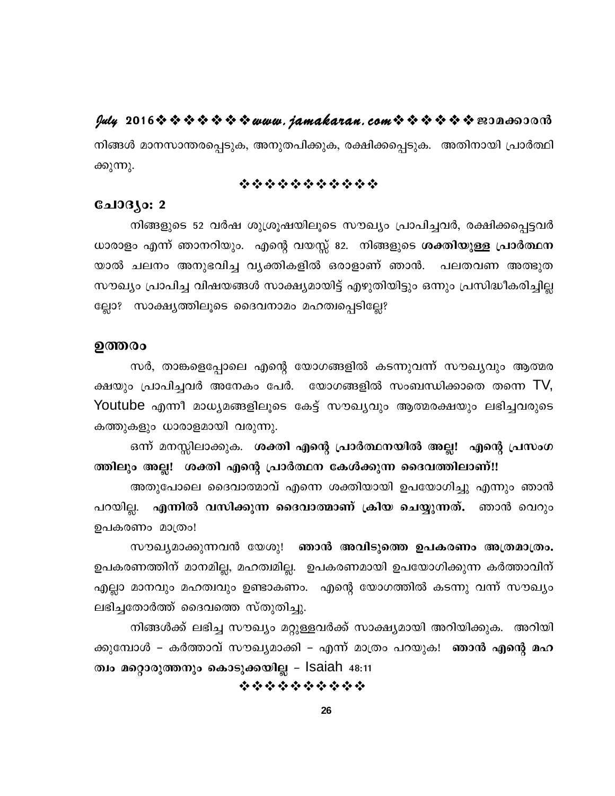### $\frac{dy}{dx}$  2016 \$ \$ \$ \$ \$ \$ \$ www.jamakaran.com \$ \$ \$ \$ \$ \$ B3Da603013

നിങ്ങൾ മാനസാന്തരപ്പെടുക, അനുതപിക്കുക, രക്ഷിക്കപ്പെടുക. അതിനായി പ്രാർത്ഥി ക്കുന്നു.

### \*\*\*\*\*\*\*\*\*\*\*

### ചോദ്യം: 2

നിങ്ങളുടെ 52 വർഷ ശുശ്രൂഷയിലൂടെ സൗഖ്യം പ്രാപിച്ചവർ, രക്ഷിക്കപ്പെട്ടവർ ധാരാളം എന്ന് ഞാനറിയും. എന്റെ വയസ്സ് 82. നിങ്ങളുടെ ശക്തിയുള്ള പ്രാർത്ഥന യാൽ ചലനം അനുഭവിച്ച വൃക്തികളിൽ ഒരാളാണ് ഞാൻ. പലതവണ അത്ഭുത സൗഖ്യം പ്രാപിച്ച വിഷയങ്ങൾ സാക്ഷ്യമായിട്ട് എഴുതിയിട്ടും ഒന്നും പ്രസിദ്ധീകരിച്ചില്ല ല്ലോ? സാക്ഷ്യത്തിലൂടെ ദൈവനാമം മഹത്വപ്പെടില്ലേ?

### ഉത്തരം

സർ, താങ്കളെപ്പോലെ എന്റെ യോഗങ്ങളിൽ കടന്നുവന്ന് സൗഖ്യവും ആത്മര ക്ഷയും പ്രാപിച്ചവർ അനേകം പേർ. യോഗങ്ങളിൽ സംബന്ധിക്കാതെ തന്നെ TV, Youtube എന്നീ മാധ്യമങ്ങളിലൂടെ കേട്ട് സൗഖ്യവും ആത്മരക്ഷയും ലഭിച്ചവരുടെ കത്തുകളും ധാരാളമായി വരുന്നു.

ഒന്ന് മനസ്സിലാക്കുക. ശക്തി എന്റെ പ്രാർത്ഥനയിൽ അല്ല! എന്റെ പ്രസംഗ ത്തിലും അല്ല! ശക്തി എന്റെ പ്രാർത്ഥന കേൾക്കുന്ന ദൈവത്തിലാണ്!!

അതുപോലെ ദൈവാത്മാവ് എന്നെ ശക്തിയായി ഉപയോഗിച്ചു എന്നും ഞാൻ പറയില്ല. എന്നിൽ വസിക്കുന്ന ദൈവാത്മാണ് ക്രിയ ചെയ്യുന്നത്. ഞാൻ വെറും ഉപകരണം മാത്രം!

സൗഖ്യമാക്കുന്നവൻ യേശു! ഞാൻ അവിടുത്തെ ഉപകരണം അത്രമാത്രം. ഉപകരണത്തിന് മാനമില്ല, മഹത്വമില്ല. ഉപകരണമായി ഉപയോഗിക്കുന്ന കർത്താവിന് എല്ലാ മാനവും മഹത്വവും ഉണ്ടാകണം. എന്റെ യോഗത്തിൽ കടന്നു വന്ന് സൗഖ്യം ലഭിച്ചതോർത്ത് ദൈവത്തെ സ്തുതിച്ചു.

നിങ്ങൾക്ക് ലഭിച്ച സൗഖ്യം മറ്റുള്ളവർക്ക് സാക്ഷ്യമായി അറിയിക്കുക. അറിയി ക്കുമ്പോൾ – കർത്താവ് സൗഖ്യമാക്കി – എന്ന് മാത്രം പറയുക! ഞാൻ എന്റെ മഹ ത്വം മറ്റൊരുത്തനും കൊടുക്കയില്ല – Isaiah <sub>48:11</sub>

\*\*\*\*\*\*\*\*\*\*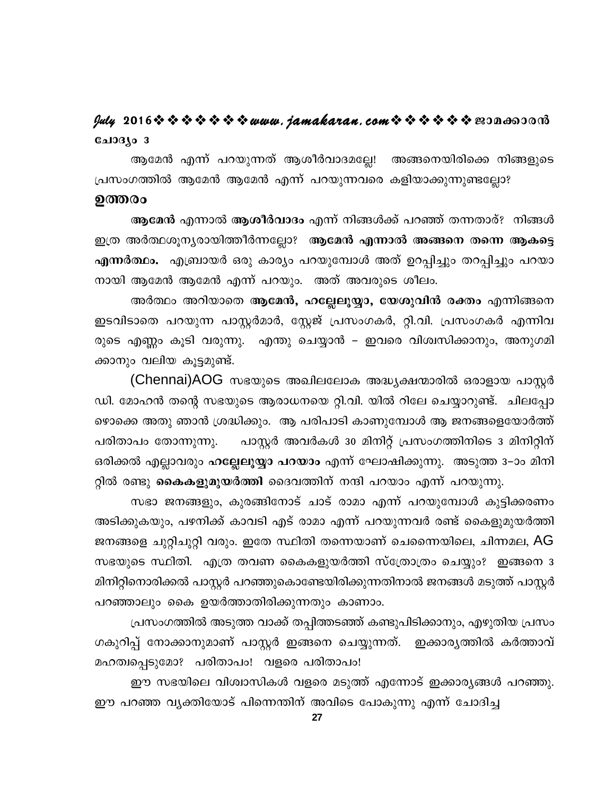# ചോദ്യം 3

ആമേൻ എന്ന് പറയുന്നത് ആശീർവാദമല്ലേ! അങ്ങനെയിരിക്കെ നിങ്ങളുടെ പ്രസംഗത്തിൽ ആമേൻ ആമേൻ എന്ന് പറയുന്നവരെ കളിയാക്കുന്നുണ്ടല്ലോ?

### ഉത്തരം

ആമേൻ എന്നാൽ ആശീർവാദം എന്ന് നിങ്ങൾക്ക് പറഞ്ഞ് തന്നതാര്? നിങ്ങൾ ഇത്ര അർത്ഥശൂന്യരായിത്തീർന്നല്ലോ? ആമേൻ എന്നാൽ അങ്ങനെ തന്നെ ആകട്ടെ എന്നർത്ഥം. എബ്രായർ ഒരു കാര്യം പറയുമ്പോൾ അത് ഉറപ്പിച്ചും തറപ്പിച്ചും പറയാ നായി ആമേൻ ആമേൻ എന്ന് പറയും. അത് അവരുടെ ശീലം.

അർത്ഥം അറിയാതെ **ആമേൻ, ഹല്ലേലൂയ്യാ, യേശുവിൻ രക്തം** എന്നിങ്ങനെ ഇടവിടാതെ പറയുന്ന പാസ്റ്റർമാർ, സ്റ്റേജ് പ്രസംഗകർ, റ്റി.വി. പ്രസംഗകർ എന്നിവ രുടെ എണ്ണം കൂടി വരുന്നു. എന്തു ചെയ്യാൻ – ഇവരെ വിശ്വസിക്കാനും, അനുഗമി ക്കാനും വലിയ കൂട്ടമുണ്ട്.

(Chennai)AOG സഭയുടെ അഖിലലോക അദ്ധ്യക്ഷന്മാരിൽ ഒരാളായ പാസ്റ്റർ ഡി. മോഹൻ തന്റെ സഭയുടെ ആരാധനയെ റ്റി.വി. യിൽ റിലേ ചെയ്യാറുണ്ട്. ചിലപ്പോ ഴൊക്കെ അതു ഞാൻ ശ്രദ്ധിക്കും. ആ പരിപാടി കാണുമ്പോൾ ആ ജനങ്ങളെയോർത്ത് പാസ്റ്റർ അവർകൾ 30 മിനിറ്റ് പ്രസംഗത്തിനിടെ 3 മിനിറ്റിന് പരിതാപം തോന്നുന്നു. ഒരിക്കൽ എല്ലാവരും ഹല്ലേലൂയ്യാ പറയാം എന്ന് ഘോഷിക്കുന്നു. അടുത്ത 3–ാം മിനി റ്റിൽ രണ്ടു **കൈകളുമുയർത്തി** ദൈവത്തിന് നന്ദി പറയാം എന്ന് പറയുന്നു.

സഭാ ജനങ്ങളും, കുരങ്ങിനോട് ചാട് രാമാ എന്ന് പറയുമ്പോൾ കുട്ടിക്കരണം അടിക്കുകയും, പഴനിക്ക് കാവടി എട് രാമാ എന്ന് പറയുന്നവർ രണ്ട് കൈളുമുയർത്തി ജനങ്ങളെ ചുറ്റിചുറ്റി വരും. ഇതേ സ്ഥിതി തന്നെയാണ് ചെന്നൈയിലെ, ചിന്നമല, AG സഭയുടെ സ്ഥിതി. എത്ര തവണ കൈകളുയർത്തി സ്ത്രോത്രം ചെയ്യും? ഇങ്ങനെ 3 മിനിറ്റിനൊരിക്കൽ പാസ്റ്റർ പറഞ്ഞുകൊണ്ടേയിരിക്കുന്നതിനാൽ ജനങ്ങൾ മടുത്ത് പാസ്റ്റർ പറഞ്ഞാലും കൈ ഉയർത്താതിരിക്കുന്നതും കാണാം.

പ്രസംഗത്തിൽ അടുത്ത വാക്ക് തപ്പിത്തടഞ്ഞ് കണ്ടുപിടിക്കാനും, എഴുതിയ പ്രസം ഗകുറിപ്പ് നോക്കാനുമാണ് പാസ്റ്റർ ഇങ്ങനെ ചെയ്യുന്നത്. ഇക്കാര്യത്തിൽ കർത്താവ് മഹത്വപ്പെടുമോ? പരിതാപം! വളരെ പരിതാപം!

ഈ സഭയിലെ വിശ്വാസികൾ വളരെ മടുത്ത് എന്നോട് ഇക്കാര്യങ്ങൾ പറഞ്ഞു. ഈ പറഞ്ഞ വ്യക്തിയോട് പിന്നെന്തിന് അവിടെ പോകുന്നു എന്ന് ചോദിച്ച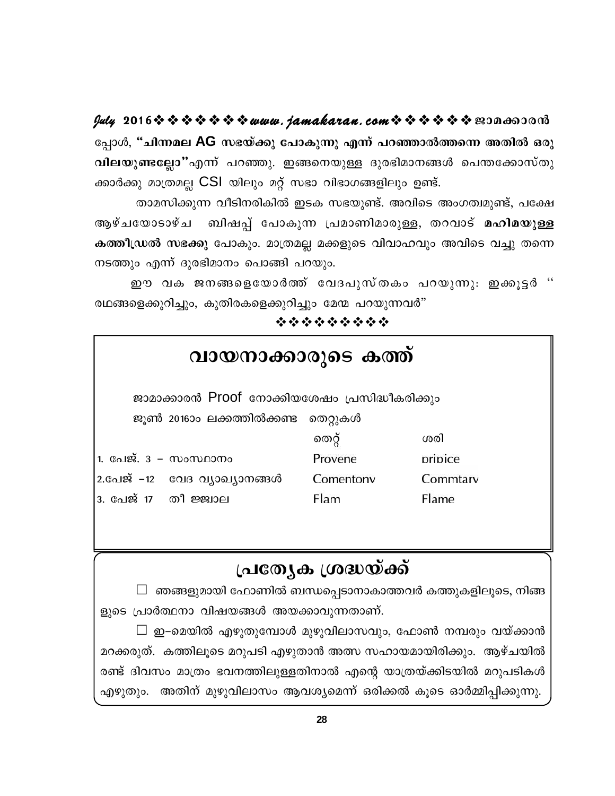$y$ uly 2016  $\rightsquigarrow \rightsquigarrow \rightsquigarrow \rightsquigarrow \rightsquigarrow w$ uuu. jamakaran. com $\rightsquigarrow \rightsquigarrow \rightsquigarrow \rightsquigarrow \rightsquigarrow w$ 200600000

പ്പോൾ, "ചിന്നമല AG സഭയ്ക്കു പോകുന്നു എന്ന് പറഞ്ഞാൽത്തന്നെ അതിൽ ഒരു വിലയുണ്ടല്ലോ"എന്ന് പറഞ്ഞു. ഇങ്ങനെയുള്ള ദുരഭിമാനങ്ങൾ പെന്തക്കോസ്തു ക്കാർക്കു മാത്രമല്ല CSI യിലും മറ്റ് സഭാ വിഭാഗങ്ങളിലും ഉണ്ട്.

താമസിക്കുന്ന വീടിനരികിൽ ഇടക സഭയുണ്ട്. അവിടെ അംഗത്വമുണ്ട്, പക്ഷേ ബിഷപ്പ് പോകുന്ന പ്രമാണിമാരുള്ള, തറവാട് മഹിമയുള്ള ആഴ്ചയോടാഴ്ച കത്തീഡ്രൽ സഭക്കു പോകും. മാത്രമല്ല മക്കളുടെ വിവാഹവും അവിടെ വച്ചു തന്നെ നടത്തും എന്ന് ദുരഭിമാനം പൊങ്ങി പറയും.

ഈ വക ജനങ്ങളെയോർത്ത് വേദപുസ്തകം പറയുന്നു. ഇക്കുട്ടർ '' രഥങ്ങളെക്കുറിച്ചും, കുതിരകളെക്കുറിച്ചും മേന്മ പറയുന്നവർ"

### \*\*\*\*\*\*\*\*\*

| വായനാക്കാരുടെ കത്ത്                            |                                |           |          |  |  |
|------------------------------------------------|--------------------------------|-----------|----------|--|--|
| ജാമാക്കാരൻ Proof നോക്കിയശേഷം പ്രസിദ്ധീകരിക്കും |                                |           |          |  |  |
| ജൂൺ 201600 ലക്കത്തിൽക്കണ്ട തെറ്റുകൾ            |                                |           |          |  |  |
|                                                |                                | തെറ്റ്    | ശരി      |  |  |
| 1. പേജ്. 3 – സംസ്ഥാനം                          |                                | Provene   | pripice  |  |  |
|                                                | 2.പേജ് –12 - വേദ വ്യാഖ്യാനങ്ങൾ | Comentony | Commtary |  |  |
| 3. പേജ് 17   തീ ജ്ജ്വാല                        |                                | Flam      | Flame    |  |  |

# പ്രത്യേക ശ്രദ്ധയ്ക്ക്

 $\Box$  ഞങ്ങളുമായി ഫോണിൽ ബന്ധപ്പെടാനാകാത്തവർ കത്തുകളിലൂടെ, നിങ്ങ ളുടെ പ്രാർത്ഥനാ വിഷയങ്ങൾ അയക്കാവുന്നതാണ്.

 $\Box$  ഇ–മെയിൽ എഴുതുമ്പോൾ മുഴുവിലാസവും, ഫോൺ നമ്പരും വയ്ക്കാൻ മറക്കരുത്. കത്തിലൂടെ മറുപടി എഴുതാൻ അത്സ സഹായമായിരിക്കും. ആഴ്ചയിൽ രണ്ട് ദിവസം മാത്രം ഭവനത്തിലുള്ളതിനാൽ എന്റെ യാത്രയ്ക്കിടയിൽ മറുപടികൾ എഴുതും. അതിന് മുഴുവിലാസം ആവശ്യമെന്ന് ഒരിക്കൽ കൂടെ ഓർമ്മിപ്പിക്കുന്നു.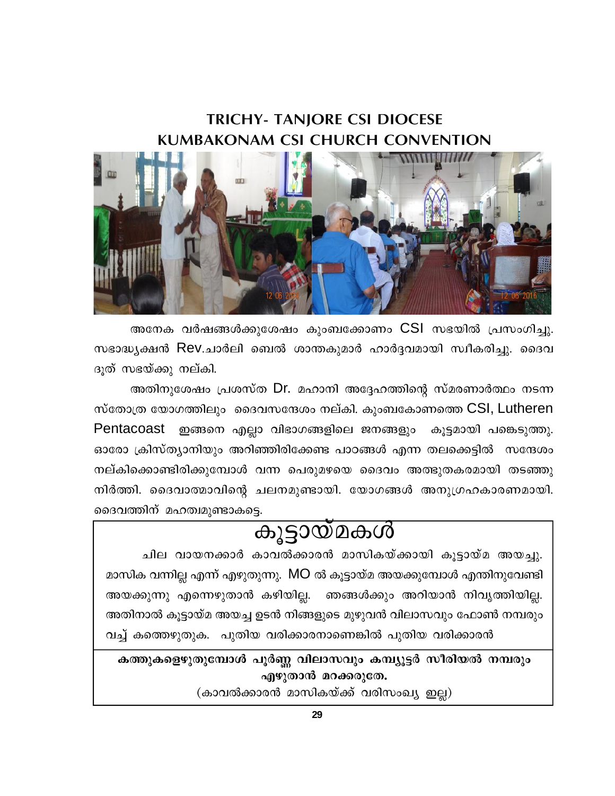# **TRICHY- TANIORE CSI DIOCESE KUMBAKONAM CSI CHURCH CONVENTION**



അനേക വർഷങ്ങൾക്കുശേഷം കുംബക്കോണം CSI സഭയിൽ പ്രസംഗിച്ചു. സഭാദ്ധ്യക്ഷൻ Rev.ചാർലി ബെൽ ശാന്തകുമാർ ഹാർദ്ദവമായി സ്വീകരിച്ചു. ദൈവ ദുത് സഭയ്ക്കു നല്കി.

അതിനുശേഷം പ്രശസ്ത Dr. മഹാനി അദ്ദേഹത്തിന്റെ സ്മരണാർത്ഥം നടന്ന സ്തോത്ര യോഗത്തിലും ദൈവസന്ദേശം നല്കി. കുംബകോണത്തെ CSI, Lutheren Pentacoast ഇങ്ങനെ എല്ലാ വിഭാഗങ്ങളിലെ ജനങ്ങളും കൂട്ടമായി പങ്കെടുത്തു. ഓരോ ക്രിസ്ത്യാനിയും അറിഞ്ഞിരിക്കേണ്ട പാഠങ്ങൾ എന്ന തലക്കെട്ടിൽ സന്ദേശം നല്കിക്കൊണ്ടിരിക്കുമ്പോൾ വന്ന പെരുമഴയെ ദൈവം അത്ഭുതകരമായി തടഞ്ഞു നിർത്തി. ദൈവാത്മാവിന്റെ ചലനമുണ്ടായി. യോഗങ്ങൾ അനുഗ്രഹകാരണമായി. ദൈവത്തിന് മഹത്വമുണ്ടാകട്ടെ.

# കൂട്ടായ്മകൾ

ചില വായനക്കാർ കാവൽക്കാരൻ മാസികയ്ക്കായി കൂട്ടായ്മ അയച്ചു. മാസിക വന്നില്ല എന്ന് എഴുതുന്നു. MO ൽ കൂട്ടായ്മ അയക്കുമ്പോൾ എന്തിനുവേണ്ടി അയക്കുന്നു എന്നെഴുതാൻ കഴിയില്ല. ഞങ്ങൾക്കും അറിയാൻ നിവൃത്തിയില്ല. അതിനാൽ കുട്ടായ്മ അയച്ച ഉടൻ നിങ്ങളുടെ മുഴുവൻ വിലാസവും ഫോൺ നമ്പരും വച്ച് കത്തെഴുതുക. പുതിയ വരിക്കാരനാണെങ്കിൽ പുതിയ വരിക്കാരൻ

കത്തുകളെഴുതുമ്പോൾ പൂർണ്ണ വിലാസവും കമ്പ്യൂട്ടർ സീരിയൽ നമ്പരും എഴുതാൻ മറക്കരുതേ.

(കാവൽക്കാരൻ മാസികയ്ക്ക് വരിസംഖ്യ ഇല്ല)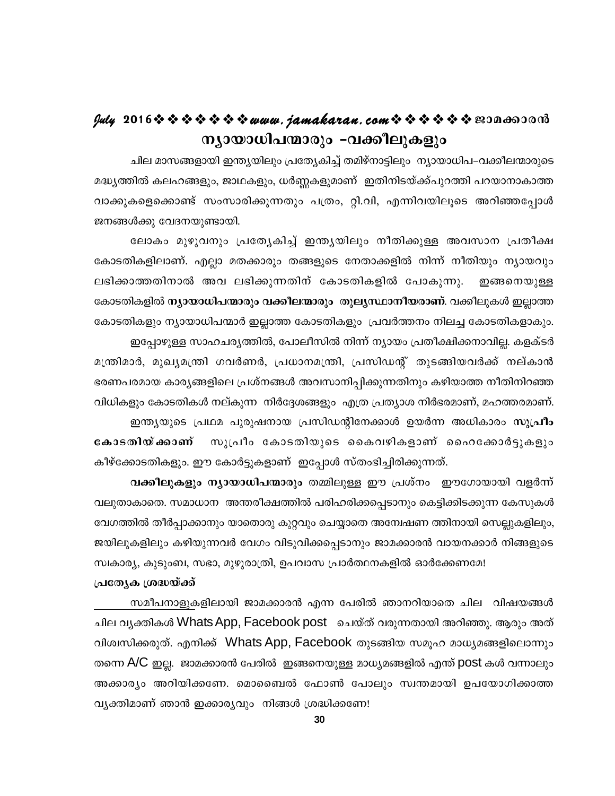# $y$ uly 2016  $\rightsquigarrow \rightsquigarrow \rightsquigarrow \rightsquigarrow \rightsquigarrow w$ uuu. jamakaran. com $\rightsquigarrow \rightsquigarrow \rightsquigarrow \rightsquigarrow \rightsquigarrow w$ 200600000 ന്യായാധിപന്മാരും -വക്കീലുകളും

ചില മാസങ്ങളായി ഇന്ത്യയിലും പ്രത്യേകിച്ച് തമിഴ്നാട്ടിലും ന്യായാധിപ–വക്കീലന്മാരുടെ മദ്ധ്യത്തിൽ കലഹങ്ങളും, ജാഥകളും, ധർണ്ണകളുമാണ് ഇതിനിടയ്ക്ക്പുറത്തി പറയാനാകാത്ത വാക്കുകളെക്കൊണ്ട് സംസാരിക്കുന്നതും പത്രം, റ്റി.വി, എന്നിവയിലൂടെ അറിഞ്ഞപ്പോൾ ജനങ്ങൾക്കു വേദനയുണ്ടായി.

ലോകം മുഴുവനും പ്രത്യേകിച്ച് ഇന്ത്യയിലും നീതിക്കുള്ള അവസാന പ്രതീക്ഷ കോടതികളിലാണ്. എല്ലാ മതക്കാരും തങ്ങളുടെ നേതാക്കളിൽ നിന്ന് നീതിയും ന്യായവും ലഭിക്കാത്തതിനാൽ അവ ലഭിക്കുന്നതിന് കോടതികളിൽ പോകുന്നു. ഇങ്ങനെയുള്ള കോടതികളിൽ ന്യായാധിപന്മാരും വക്കീലന്മാരും തുല്യസ്ഥാനീയരാണ്. വക്കീലുകൾ ഇല്ലാത്ത കോടതികളും ന്യായാധിപന്മാർ ഇല്ലാത്ത കോടതികളും പ്രവർത്തനം നിലച്ച കോടതികളാകും.

ഇപ്പോഴുള്ള സാഹചര്യത്തിൽ, പോലീസിൽ നിന്ന് ന്യായം പ്രതീക്ഷിക്കനാവില്ല. കളക്ടർ മന്ത്രിമാർ, മുഖ്യമന്ത്രി ഗവർണർ, പ്രധാനമന്ത്രി, പ്രസിഡന്റ് തുടങ്ങിയവർക്ക് നല്കാൻ ഭരണപരമായ കാര്യങ്ങളിലെ പ്രശ്നങ്ങൾ അവസാനിപ്പിക്കുന്നതിനും കഴിയാത്ത നീതിനിറഞ്ഞ വിധികളും കോടതികൾ നല്കുന്ന നിർദ്ദേശങ്ങളും എത്ര പ്രത്യാശ നിർഭരമാണ്, മഹത്തരമാണ്. ഇന്ത്യയുടെ പ്രഥമ പുരുഷനായ പ്രസിഡന്റിനേക്കാൾ ഉയർന്ന അധികാരം സുപ്രീം സുപ്രീം കോടതിയുടെ കൈവഴികളാണ് ഹൈക്കോർട്ടുകളും കോടതിയ്ക്കാണ് കീഴ്ക്കോടതികളും. ഈ കോർട്ടുകളാണ് ഇപ്പോൾ സ്തംഭിച്ചിരിക്കുന്നത്.

വക്കീലുകളും ന്യായാധിപന്മാരും തമ്മിലുള്ള ഈ പ്രശ്നം ഈഗോയായി വളർന്ന് വലുതാകാതെ. സമാധാന അന്തരീക്ഷത്തിൽ പരിഹരിക്കപ്പെടാനും കെട്ടിക്കിടക്കുന്ന കേസുകൾ വേഗത്തിൽ തീർപ്പാക്കാനും യാതൊരു കുറ്റവും ചെയ്യാതെ അന്വേഷണ ത്തിനായി സെല്ലുകളിലും, ജയിലുകളിലും കഴിയുന്നവർ വേഗം വിടുവിക്കപ്പെടാനും ജാമക്കാരൻ വായനക്കാർ നിങ്ങളുടെ സ്വകാര്യ, കുടുംബ, സഭാ, മുഴുരാത്രി, ഉപവാസ പ്രാർത്ഥനകളിൽ ഓർക്കേണമേ!

### പ്രത്യേക ശ്രദ്ധയ്ക്ക്

സമീപനാളുകളിലായി ജാമക്കാരൻ എന്ന പേരിൽ ഞാനറിയാതെ ചില വിഷയങ്ങൾ ചില വൃക്തികൾ Whats App, Facebook post ചെയ്ത് വരുന്നതായി അറിഞ്ഞു. ആരും അത് വിശ്വസിക്കരുത്. എനിക്ക് Whats App, Facebook തുടങ്ങിയ സമൂഹ മാധ്യമങ്ങളിലൊന്നും തന്നെ A/C ഇല്ല. ജാമക്കാരൻ പേരിൽ ഇങ്ങനെയുള്ള മാധ്യമങ്ങളിൽ എന്ത് post കൾ വന്നാലും അക്കാര്യം അറിയിക്കണേ. മൊബൈൽ ഫോൺ പോലും സ്വന്തമായി ഉപയോഗിക്കാത്ത വ്യക്തിമാണ് ഞാൻ ഇക്കാര്യവും നിങ്ങൾ ശ്രദ്ധിക്കണേ!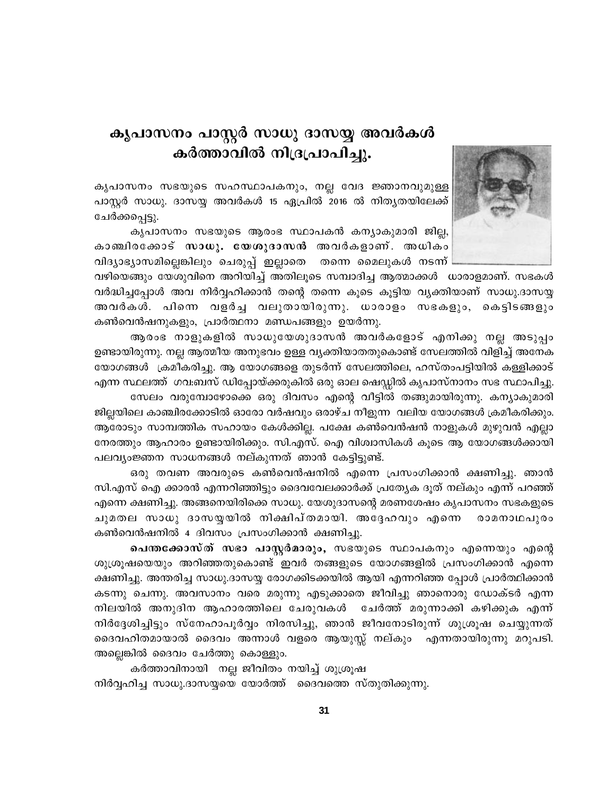# കൃപാസനം പാസ്റ്റർ സാധു ദാസയ്യ അവർകൾ കർത്താവിൽ നിദ്രപ്രാപിച്ചു.

കൃപാസനം സഭയുടെ സഹസ്ഥാപകനും, നല്ല വേദ ജ്ഞാനവുമുള്ള പാസ്റ്റർ സാധു. ദാസയ്യ അവർകൾ 15 ഏപ്രിൽ 2016 ൽ നിതൃതയിലേക്ക് ചേർക്കപ്പെട്ടു.

കൃപാസനം സഭയുടെ ആരംഭ സ്ഥാപകൻ കന്യാകുമാരി ജില്ല, കാഞ്ചിരക്കോട് സാധു. യേശുദാസൻ അവർകളാണ്. അധികം വിദ്യാഭ്യാസമില്ലെങ്കിലും ചെരുപ്പ് ഇല്ലാതെ തന്നെ മൈലുകൾ നടന്ന്



വഴിയെങ്ങും യേശുവിനെ അറിയിച്ച് അതിലൂടെ സമ്പാദിച്ച ആത്മാക്കൾ ധാരാളമാണ്. സഭകൾ വർദ്ധിച്ചപ്പോൾ അവ നിർവ്വഹിക്കാൻ തന്റെ തന്നെ കൂടെ കൂട്ടിയ വ്യക്തിയാണ് സാധു.ദാസയ്യ അവർകൾ. പിന്നെ വളർച്ച വലുതായിരുന്നു. ധാരാളം സഭകളും, കെട്ടിടങ്ങളും കൺവെൻഷനുകളും, പ്രാർത്ഥനാ മണ്ഡപങ്ങളും ഉയർന്നു.

ആരംഭ നാളുകളിൽ സാധുയേശുദാസൻ അവർകളോട് എനിക്കു നല്ല അടുപ്പം ഉണ്ടായിരുന്നു. നല്ല ആത്മീയ അനുഭവം ഉള്ള വ്യക്തിയാതതുകൊണ്ട് സേലത്തിൽ വിളിച്ച് അനേക യോഗങ്ങൾ ക്രമീകരിച്ചു. ആ യോഗങ്ങളെ തുടർന്ന് സേലത്തിലെ, ഹസ്തംപട്ടിയിൽ കള്ളിക്കാട് എന്ന സ്ഥലത്ത് ഗവ:ബസ് ഡിപ്പോയ്ക്കരുകിൽ ഒരു ഓല ഷെഡ്ഡിൽ കൃപാസ്നാനം സഭ സ്ഥാപിച്ചു.

സേലം വരുമ്പോഴോക്കെ ഒരു ദിവസം എന്റെ വീട്ടിൽ തങ്ങുമായിരുന്നു. കന്യാകുമാരി ജില്ലയിലെ കാഞ്ചിരക്കോടിൽ ഓരോ വർഷവും ഒരാഴ്ച നീളുന്ന വലിയ യോഗങ്ങൾ ക്രമീകരിക്കും. ആരോടും സാമ്പത്തിക സഹായം കേൾക്കില്ല. പക്ഷേ കൺവെൻഷൻ നാളുകൾ മുഴുവൻ എല്ലാ നേരത്തും ആഹാരം ഉണ്ടായിരിക്കും. സി.എസ്. ഐ വിശ്വാസികൾ കൂടെ ആ യോഗങ്ങൾക്കായി പലവ്യംജ്ഞന സാധനങ്ങൾ നല്കുന്നത് ഞാൻ കേട്ടിട്ടുണ്ട്.

ഒരു തവണ അവരുടെ കൺവെൻഷനിൽ എന്നെ പ്രസംഗിക്കാൻ ക്ഷണിച്ചു. ഞാൻ സി.എസ് ഐ ക്കാരൻ എന്നറിഞ്ഞിട്ടും ദൈവവേലക്കാർക്ക് പ്രത്യേക ദൂത് നല്കും എന്ന് പറഞ്ഞ് എന്നെ ക്ഷണിച്ചു. അങ്ങനെയിരിക്കെ സാധു. യേശുദാസന്റെ മരണശേഷം കൃപാസനം സഭകളുടെ ചുമതല സാധു ദാസയ്യയിൽ നിക്ഷിപ്തമായി. അദ്ദേഹവും എന്നെ രാമനാഥപുരം കൺവെൻഷനിൽ 4 ദിവസം പ്രസംഗിക്കാൻ ക്ഷണിച്ചു.

പെന്തക്കോസ്ത് സഭാ പാസ്റ്റർമാരും, സഭയുടെ സ്ഥാപകനും എന്നെയും എന്റെ ശുശ്രൂഷയെയും അറിഞ്ഞതുകൊണ്ട് ഇവർ തങ്ങളുടെ യോഗങ്ങളിൽ പ്രസംഗിക്കാൻ എന്നെ ക്ഷണിച്ചു. അന്തരിച്ച സാധു.ദാസയ്യ രോഗക്കിടക്കയിൽ ആയി എന്നറിഞ്ഞ പ്പോൾ പ്രാർത്ഥിക്കാൻ കടന്നു ചെന്നു. അവസാനം വരെ മരുന്നു എടുക്കാതെ ജീവിച്ചു ഞാനൊരു ഡോക്ടർ എന്ന നിലയിൽ അനുദിന ആഹാരത്തിലെ ചേരുവകൾ ചേർത്ത് മരുന്നാക്കി കഴിക്കുക എന്ന് നിർദ്ദേശിച്ചിട്ടും സ്നേഹാപൂർവ്വം നിരസിച്ചു, ഞാൻ ജീവനോടിരുന്ന് ശുശ്രൂഷ ചെയ്യുന്നത് ദൈവഹിതമായാൽ ദൈവം അന്നാൾ വളരെ ആയുസ്സ് നല്കും എന്നതായിരുന്നു മറുപടി. അല്ലെങ്കിൽ ദൈവം ചേർത്തു കൊള്ളും.

കർത്താവിനായി നല്ല ജീവിതം നയിച്ച് ശുശ്രൂഷ നിർവ്വഹിച്ച സാധു.ദാസയ്യയെ യോർത്ത് ദൈവത്തെ സ്തുതിക്കുന്നു.